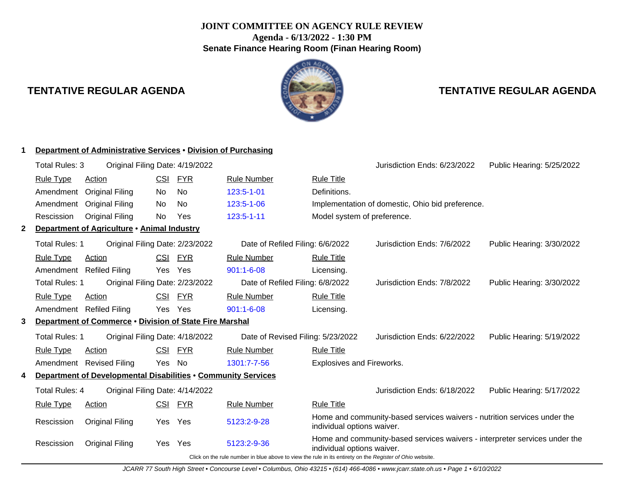# **JOINT COMMITTEE ON AGENCY RULE REVIEW Agenda - 6/13/2022 - 1:30 PM Senate Finance Hearing Room (Finan Hearing Room)**



# **TENTATIVE REGULAR AGENDA TENTATIVE REGULAR AGENDA**

|              | Department of Administrative Services • Division of Purchasing |                                                               |            |            |                                                                                                          |                                  |                                                                            |                           |  |
|--------------|----------------------------------------------------------------|---------------------------------------------------------------|------------|------------|----------------------------------------------------------------------------------------------------------|----------------------------------|----------------------------------------------------------------------------|---------------------------|--|
|              | Total Rules: 3                                                 | Original Filing Date: 4/19/2022                               |            |            |                                                                                                          |                                  | Jurisdiction Ends: 6/23/2022                                               | Public Hearing: 5/25/2022 |  |
|              | <b>Rule Type</b>                                               | <b>Action</b>                                                 | <b>CSI</b> | <b>FYR</b> | <b>Rule Number</b>                                                                                       | <b>Rule Title</b>                |                                                                            |                           |  |
|              | Amendment                                                      | <b>Original Filing</b>                                        | No.        | <b>No</b>  | 123:5-1-01                                                                                               | Definitions.                     |                                                                            |                           |  |
|              | Amendment                                                      | <b>Original Filing</b>                                        | No.        | No.        | 123:5-1-06                                                                                               |                                  | Implementation of domestic, Ohio bid preference.                           |                           |  |
|              | Rescission                                                     | <b>Original Filing</b>                                        | No.        | Yes        | 123:5-1-11                                                                                               | Model system of preference.      |                                                                            |                           |  |
| $\mathbf{2}$ |                                                                | Department of Agriculture • Animal Industry                   |            |            |                                                                                                          |                                  |                                                                            |                           |  |
|              | Total Rules: 1                                                 | Original Filing Date: 2/23/2022                               |            |            | Date of Refiled Filing: 6/6/2022                                                                         |                                  | Jurisdiction Ends: 7/6/2022                                                | Public Hearing: 3/30/2022 |  |
|              | <b>Rule Type</b>                                               | <b>Action</b>                                                 | <u>CSI</u> | <b>FYR</b> | <b>Rule Number</b>                                                                                       | <b>Rule Title</b>                |                                                                            |                           |  |
|              | Amendment                                                      | <b>Refiled Filing</b>                                         | Yes        | Yes        | $901:1 - 6 - 08$                                                                                         | Licensing.                       |                                                                            |                           |  |
|              | Total Rules: 1                                                 | Original Filing Date: 2/23/2022                               |            |            | Date of Refiled Filing: 6/8/2022                                                                         |                                  | Jurisdiction Ends: 7/8/2022                                                | Public Hearing: 3/30/2022 |  |
|              | <b>Rule Type</b>                                               | Action                                                        | <b>CSI</b> | <b>FYR</b> | <b>Rule Number</b>                                                                                       | <b>Rule Title</b>                |                                                                            |                           |  |
|              |                                                                | Amendment Refiled Filing                                      | Yes        | Yes        | $901:1 - 6 - 08$                                                                                         | Licensing.                       |                                                                            |                           |  |
| 3.           |                                                                | Department of Commerce . Division of State Fire Marshal       |            |            |                                                                                                          |                                  |                                                                            |                           |  |
|              | Total Rules: 1                                                 | Original Filing Date: 4/18/2022                               |            |            | Date of Revised Filing: 5/23/2022                                                                        |                                  | Jurisdiction Ends: 6/22/2022                                               | Public Hearing: 5/19/2022 |  |
|              | <b>Rule Type</b>                                               | Action                                                        | <b>CSI</b> | <b>FYR</b> | <b>Rule Number</b>                                                                                       | <b>Rule Title</b>                |                                                                            |                           |  |
|              |                                                                | Amendment Revised Filing                                      | Yes        | No         | 1301:7-7-56                                                                                              | <b>Explosives and Fireworks.</b> |                                                                            |                           |  |
|              |                                                                | Department of Developmental Disabilities . Community Services |            |            |                                                                                                          |                                  |                                                                            |                           |  |
|              | Total Rules: 4                                                 | Original Filing Date: 4/14/2022                               |            |            |                                                                                                          |                                  | Jurisdiction Ends: 6/18/2022                                               | Public Hearing: 5/17/2022 |  |
|              | <b>Rule Type</b>                                               | Action                                                        | <u>CSI</u> | <b>FYR</b> | <b>Rule Number</b>                                                                                       | <b>Rule Title</b>                |                                                                            |                           |  |
|              | Rescission                                                     | <b>Original Filing</b>                                        | Yes        | Yes        | 5123:2-9-28                                                                                              | individual options waiver.       | Home and community-based services waivers - nutrition services under the   |                           |  |
|              | Rescission                                                     | <b>Original Filing</b>                                        | Yes        | Yes        | 5123:2-9-36                                                                                              | individual options waiver.       | Home and community-based services waivers - interpreter services under the |                           |  |
|              |                                                                |                                                               |            |            | Click on the rule number in blue above to view the rule in its entirety on the Register of Ohio website. |                                  |                                                                            |                           |  |

JCARR 77 South High Street • Concourse Level • Columbus, Ohio 43215 • (614) 466-4086 • www.jcarr.state.oh.us • Page 1 • 6/10/2022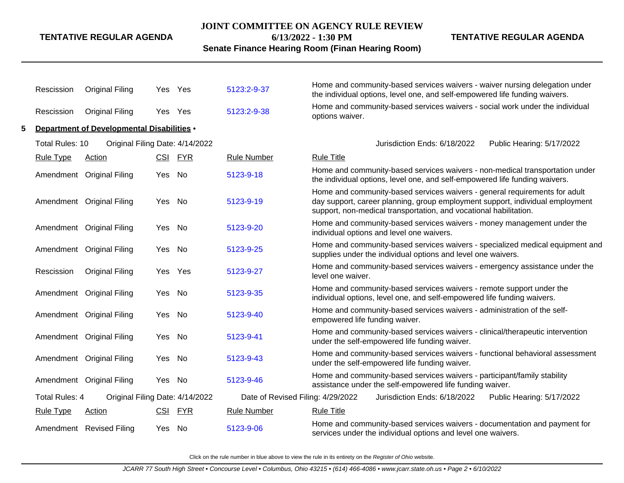#### **JOINT COMMITTEE ON AGENCY RULE REVIEW**

**6/13/2022 - 1:30 PM**

**Senate Finance Hearing Room (Finan Hearing Room)**

**TENTATIVE REGULAR AGENDA**

|   | Rescission       | <b>Original Filing</b>                             |        | Yes Yes | 5123:2-9-37                                               | Home and community-based services waivers - waiver nursing delegation under<br>the individual options, level one, and self-empowered life funding waivers.                                                                       |
|---|------------------|----------------------------------------------------|--------|---------|-----------------------------------------------------------|----------------------------------------------------------------------------------------------------------------------------------------------------------------------------------------------------------------------------------|
|   | Rescission       | <b>Original Filing</b>                             | Yes    | Yes     | 5123:2-9-38                                               | Home and community-based services waivers - social work under the individual<br>options waiver.                                                                                                                                  |
| 5 |                  | Department of Developmental Disabilities .         |        |         |                                                           |                                                                                                                                                                                                                                  |
|   |                  | Original Filing Date: 4/14/2022<br>Total Rules: 10 |        |         | Jurisdiction Ends: 6/18/2022<br>Public Hearing: 5/17/2022 |                                                                                                                                                                                                                                  |
|   | <b>Rule Type</b> | Action                                             |        | CSI FYR | <b>Rule Number</b>                                        | <b>Rule Title</b>                                                                                                                                                                                                                |
|   |                  | Amendment Original Filing                          | Yes    | No      | 5123-9-18                                                 | Home and community-based services waivers - non-medical transportation under<br>the individual options, level one, and self-empowered life funding waivers.                                                                      |
|   |                  | Amendment Original Filing                          | Yes No |         | 5123-9-19                                                 | Home and community-based services waivers - general requirements for adult<br>day support, career planning, group employment support, individual employment<br>support, non-medical transportation, and vocational habilitation. |
|   |                  | Amendment Original Filing                          | Yes No |         | 5123-9-20                                                 | Home and community-based services waivers - money management under the<br>individual options and level one waivers.                                                                                                              |
|   |                  | Amendment Original Filing                          | Yes No |         | 5123-9-25                                                 | Home and community-based services waivers - specialized medical equipment and<br>supplies under the individual options and level one waivers.                                                                                    |
|   | Rescission       | <b>Original Filing</b>                             | Yes    | Yes     | 5123-9-27                                                 | Home and community-based services waivers - emergency assistance under the<br>level one waiver.                                                                                                                                  |
|   |                  | Amendment Original Filing                          | Yes    | No      | 5123-9-35                                                 | Home and community-based services waivers - remote support under the<br>individual options, level one, and self-empowered life funding waivers.                                                                                  |
|   |                  | Amendment Original Filing                          | Yes No |         | 5123-9-40                                                 | Home and community-based services waivers - administration of the self-<br>empowered life funding waiver.                                                                                                                        |
|   |                  | Amendment Original Filing                          | Yes    | No      | 5123-9-41                                                 | Home and community-based services waivers - clinical/therapeutic intervention<br>under the self-empowered life funding waiver.                                                                                                   |
|   |                  | Amendment Original Filing                          | Yes No |         | 5123-9-43                                                 | Home and community-based services waivers - functional behavioral assessment<br>under the self-empowered life funding waiver.                                                                                                    |
|   |                  | Amendment Original Filing                          | Yes No |         | 5123-9-46                                                 | Home and community-based services waivers - participant/family stability<br>assistance under the self-empowered life funding waiver.                                                                                             |
|   | Total Rules: 4   | Original Filing Date: 4/14/2022                    |        |         | Date of Revised Filing: 4/29/2022                         | Jurisdiction Ends: 6/18/2022<br>Public Hearing: 5/17/2022                                                                                                                                                                        |
|   | <b>Rule Type</b> | <b>Action</b>                                      |        | CSI FYR | <b>Rule Number</b>                                        | <b>Rule Title</b>                                                                                                                                                                                                                |
|   |                  | Amendment Revised Filing                           | Yes No |         | 5123-9-06                                                 | Home and community-based services waivers - documentation and payment for<br>services under the individual options and level one waivers.                                                                                        |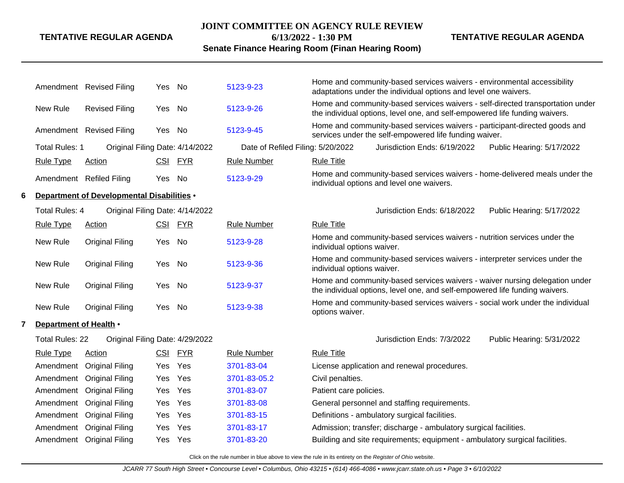#### **JOINT COMMITTEE ON AGENCY RULE REVIEW**

# **TENTATIVE REGULAR AGENDA**

**6/13/2022 - 1:30 PM**

**TENTATIVE REGULAR AGENDA**

# **Senate Finance Hearing Room (Finan Hearing Room)**

|   |                        | Amendment Revised Filing                          | Yes        | No         | 5123-9-23                         | Home and community-based services waivers - environmental accessibility<br>adaptations under the individual options and level one waivers.                    |
|---|------------------------|---------------------------------------------------|------------|------------|-----------------------------------|---------------------------------------------------------------------------------------------------------------------------------------------------------------|
|   | New Rule               | <b>Revised Filing</b>                             | Yes        | No         | 5123-9-26                         | Home and community-based services waivers - self-directed transportation under<br>the individual options, level one, and self-empowered life funding waivers. |
|   |                        | Amendment Revised Filing                          | Yes No     |            | 5123-9-45                         | Home and community-based services waivers - participant-directed goods and<br>services under the self-empowered life funding waiver.                          |
|   | Total Rules: 1         | Original Filing Date: 4/14/2022                   |            |            | Date of Refiled Filing: 5/20/2022 | Jurisdiction Ends: 6/19/2022<br>Public Hearing: 5/17/2022                                                                                                     |
|   | <b>Rule Type</b>       | Action                                            |            | CSI FYR    | <b>Rule Number</b>                | <b>Rule Title</b>                                                                                                                                             |
|   |                        | Amendment Refiled Filing                          | Yes        | No         | 5123-9-29                         | Home and community-based services waivers - home-delivered meals under the<br>individual options and level one waivers.                                       |
| 6 |                        | <b>Department of Developmental Disabilities .</b> |            |            |                                   |                                                                                                                                                               |
|   | <b>Total Rules: 4</b>  | Original Filing Date: 4/14/2022                   |            |            |                                   | Jurisdiction Ends: 6/18/2022<br>Public Hearing: 5/17/2022                                                                                                     |
|   | <b>Rule Type</b>       | Action                                            |            | CSI FYR    | <b>Rule Number</b>                | <b>Rule Title</b>                                                                                                                                             |
|   | New Rule               | <b>Original Filing</b>                            | Yes        | <b>No</b>  | 5123-9-28                         | Home and community-based services waivers - nutrition services under the<br>individual options waiver.                                                        |
|   | New Rule               | <b>Original Filing</b>                            | Yes        | No         | 5123-9-36                         | Home and community-based services waivers - interpreter services under the<br>individual options waiver.                                                      |
|   | New Rule               | <b>Original Filing</b>                            | Yes        | No         | 5123-9-37                         | Home and community-based services waivers - waiver nursing delegation under<br>the individual options, level one, and self-empowered life funding waivers.    |
|   | New Rule               | <b>Original Filing</b>                            | Yes        | No         | 5123-9-38                         | Home and community-based services waivers - social work under the individual<br>options waiver.                                                               |
| 7 | Department of Health • |                                                   |            |            |                                   |                                                                                                                                                               |
|   | <b>Total Rules: 22</b> | Original Filing Date: 4/29/2022                   |            |            |                                   | Jurisdiction Ends: 7/3/2022<br>Public Hearing: 5/31/2022                                                                                                      |
|   | <b>Rule Type</b>       | <b>Action</b>                                     | <u>CSI</u> | <u>FYR</u> | <b>Rule Number</b>                | <b>Rule Title</b>                                                                                                                                             |
|   |                        | Amendment Original Filing                         | Yes        | Yes        | 3701-83-04                        | License application and renewal procedures.                                                                                                                   |
|   |                        | Amendment Original Filing                         | Yes        | Yes        | 3701-83-05.2                      | Civil penalties.                                                                                                                                              |
|   | Amendment              | <b>Original Filing</b>                            | Yes        | Yes        | 3701-83-07                        | Patient care policies.                                                                                                                                        |
|   | Amendment              | <b>Original Filing</b>                            | Yes        | Yes        | 3701-83-08                        | General personnel and staffing requirements.                                                                                                                  |
|   | Amendment              | <b>Original Filing</b>                            | Yes        | Yes        | 3701-83-15                        | Definitions - ambulatory surgical facilities.                                                                                                                 |
|   |                        | Amendment Original Filing                         | Yes        | Yes        | 3701-83-17                        | Admission; transfer; discharge - ambulatory surgical facilities.                                                                                              |
|   |                        | Amendment Original Filing                         | Yes        | Yes        | 3701-83-20                        | Building and site requirements; equipment - ambulatory surgical facilities.                                                                                   |
|   |                        |                                                   |            |            |                                   |                                                                                                                                                               |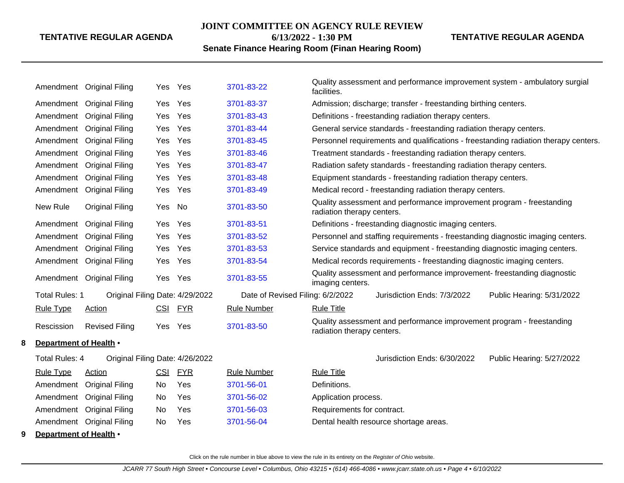# **JOINT COMMITTEE ON AGENCY RULE REVIEW 6/13/2022 - 1:30 PM**

**TENTATIVE REGULAR AGENDA**

# **Senate Finance Hearing Room (Finan Hearing Room)**

|   |                        | Amendment Original Filing       |            | Yes Yes    | 3701-83-22                       | Quality assessment and performance improvement system - ambulatory surgial<br>facilities.           |  |  |  |  |
|---|------------------------|---------------------------------|------------|------------|----------------------------------|-----------------------------------------------------------------------------------------------------|--|--|--|--|
|   |                        | Amendment Original Filing       | Yes        | Yes        | 3701-83-37                       | Admission; discharge; transfer - freestanding birthing centers.                                     |  |  |  |  |
|   |                        | Amendment Original Filing       | Yes        | Yes        | 3701-83-43                       | Definitions - freestanding radiation therapy centers.                                               |  |  |  |  |
|   |                        | Amendment Original Filing       | Yes        | Yes        | 3701-83-44                       | General service standards - freestanding radiation therapy centers.                                 |  |  |  |  |
|   |                        | Amendment Original Filing       | Yes        | Yes        | 3701-83-45                       | Personnel requirements and qualifications - freestanding radiation therapy centers.                 |  |  |  |  |
|   |                        | Amendment Original Filing       | Yes        | Yes        | 3701-83-46                       | Treatment standards - freestanding radiation therapy centers.                                       |  |  |  |  |
|   |                        | Amendment Original Filing       | Yes        | Yes        | 3701-83-47                       | Radiation safety standards - freestanding radiation therapy centers.                                |  |  |  |  |
|   |                        | Amendment Original Filing       | Yes        | Yes        | 3701-83-48                       | Equipment standards - freestanding radiation therapy centers.                                       |  |  |  |  |
|   |                        | Amendment Original Filing       | Yes        | Yes        | 3701-83-49                       | Medical record - freestanding radiation therapy centers.                                            |  |  |  |  |
|   | New Rule               | <b>Original Filing</b>          | Yes No     |            | 3701-83-50                       | Quality assessment and performance improvement program - freestanding<br>radiation therapy centers. |  |  |  |  |
|   |                        | Amendment Original Filing       | Yes        | Yes        | 3701-83-51                       | Definitions - freestanding diagnostic imaging centers.                                              |  |  |  |  |
|   |                        | Amendment Original Filing       | Yes        | Yes        | 3701-83-52                       | Personnel and staffing requirements - freestanding diagnostic imaging centers.                      |  |  |  |  |
|   |                        | Amendment Original Filing       | Yes        | Yes        | 3701-83-53                       | Service standards and equipment - freestanding diagnostic imaging centers.                          |  |  |  |  |
|   |                        | Amendment Original Filing       | Yes        | Yes        | 3701-83-54                       | Medical records requirements - freestanding diagnostic imaging centers.                             |  |  |  |  |
|   |                        | Amendment Original Filing       | Yes        | Yes        | 3701-83-55                       | Quality assessment and performance improvement- freestanding diagnostic<br>imaging centers.         |  |  |  |  |
|   | <b>Total Rules: 1</b>  | Original Filing Date: 4/29/2022 |            |            | Date of Revised Filing: 6/2/2022 | Jurisdiction Ends: 7/3/2022<br>Public Hearing: 5/31/2022                                            |  |  |  |  |
|   | <b>Rule Type</b>       | Action                          | <b>CSI</b> | <b>FYR</b> | <b>Rule Number</b>               | <b>Rule Title</b>                                                                                   |  |  |  |  |
|   | Rescission             | <b>Revised Filing</b>           | Yes        | Yes        | 3701-83-50                       | Quality assessment and performance improvement program - freestanding<br>radiation therapy centers. |  |  |  |  |
| 8 | Department of Health • |                                 |            |            |                                  |                                                                                                     |  |  |  |  |
|   | Total Rules: 4         | Original Filing Date: 4/26/2022 |            |            |                                  | Jurisdiction Ends: 6/30/2022<br>Public Hearing: 5/27/2022                                           |  |  |  |  |
|   | <b>Rule Type</b>       | Action                          | CSI        | <b>FYR</b> | <b>Rule Number</b>               | <b>Rule Title</b>                                                                                   |  |  |  |  |
|   |                        | Amendment Original Filing       | No         | Yes        | 3701-56-01                       | Definitions.                                                                                        |  |  |  |  |
|   |                        | Amendment Original Filing       | No         | Yes        | 3701-56-02                       | Application process.                                                                                |  |  |  |  |
|   |                        | Amendment Original Filing       | No.        | Yes        | 3701-56-03                       | Requirements for contract.                                                                          |  |  |  |  |
|   |                        | Amendment Original Filing       | No         | Yes        | 3701-56-04                       | Dental health resource shortage areas.                                                              |  |  |  |  |
| 9 | Department of Health • |                                 |            |            |                                  |                                                                                                     |  |  |  |  |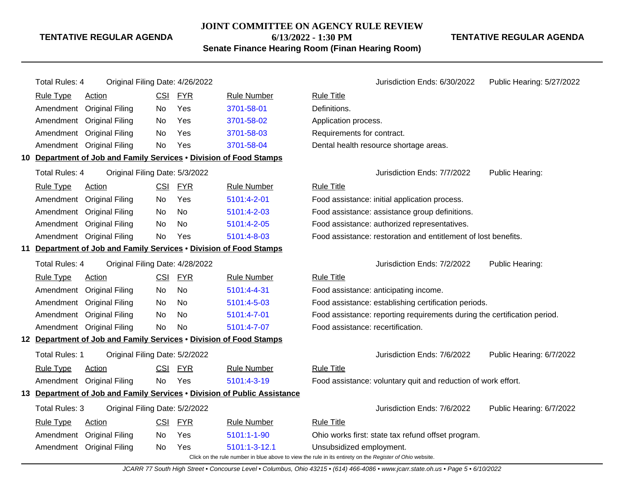#### **JOINT COMMITTEE ON AGENCY RULE REVIEW**

**6/13/2022 - 1:30 PM**

**TENTATIVE REGULAR AGENDA**

**Senate Finance Hearing Room (Finan Hearing Room)**

# Total Rules: 4 Original Filing Date: 4/26/2022 <br>Jurisdiction Ends: 6/30/2022 Public Hearing: 5/27/2022 Rule Type Action **CSI FYR** Rule Number Rule Title Amendment Original Filing No Yes [3701-58-01](http://www.registerofohio.state.oh.us/jsps/publicdisplayrules/processPublicDisplayRules.jsp?entered_rule_no=3701-58-01&doWhat=GETBYRULENUM&raID=0) Definitions. Amendment Original Filing No Yes [3701-58-02](http://www.registerofohio.state.oh.us/jsps/publicdisplayrules/processPublicDisplayRules.jsp?entered_rule_no=3701-58-02&doWhat=GETBYRULENUM&raID=0) Application process. Amendment Original Filing No Yes [3701-58-03](http://www.registerofohio.state.oh.us/jsps/publicdisplayrules/processPublicDisplayRules.jsp?entered_rule_no=3701-58-03&doWhat=GETBYRULENUM&raID=0) Requirements for contract. Amendment Original Filing No Yes [3701-58-04](http://www.registerofohio.state.oh.us/jsps/publicdisplayrules/processPublicDisplayRules.jsp?entered_rule_no=3701-58-04&doWhat=GETBYRULENUM&raID=0) Dental health resource shortage areas. **10 Department of Job and Family Services** • **Division of Food Stamps** Total Rules: 4 Original Filing Date: 5/3/2022 **Contact Contact Accord Public Heart Contact Public Heart Contact Public Hearing:** Rule Type Action **CSI FYR** Rule Number Rule Title Amendment Original Filing No Yes [5101:4-2-01](http://www.registerofohio.state.oh.us/jsps/publicdisplayrules/processPublicDisplayRules.jsp?entered_rule_no=5101:4-2-01&doWhat=GETBYRULENUM&raID=0) Food assistance: initial application process. Amendment Original Filing No No [5101:4-2-03](http://www.registerofohio.state.oh.us/jsps/publicdisplayrules/processPublicDisplayRules.jsp?entered_rule_no=5101:4-2-03&doWhat=GETBYRULENUM&raID=0) Food assistance: assistance group definitions. Amendment Original Filing No No [5101:4-2-05](http://www.registerofohio.state.oh.us/jsps/publicdisplayrules/processPublicDisplayRules.jsp?entered_rule_no=5101:4-2-05&doWhat=GETBYRULENUM&raID=0) Food assistance: authorized representatives. Amendment Original Filing No Yes [5101:4-8-03](http://www.registerofohio.state.oh.us/jsps/publicdisplayrules/processPublicDisplayRules.jsp?entered_rule_no=5101:4-8-03&doWhat=GETBYRULENUM&raID=0) Food assistance: restoration and entitlement of lost benefits. **11 Department of Job and Family Services** • **Division of Food Stamps** Total Rules: 4 Original Filing Date: 4/28/2022 **Jurisdiction Ends: 7/2/2022** Public Hearing: Rule Type Action **CSI FYR** Rule Number Rule Title Amendment Original Filing No No [5101:4-4-31](http://www.registerofohio.state.oh.us/jsps/publicdisplayrules/processPublicDisplayRules.jsp?entered_rule_no=5101:4-4-31&doWhat=GETBYRULENUM&raID=0) Food assistance: anticipating income. Amendment Original Filing No No [5101:4-5-03](http://www.registerofohio.state.oh.us/jsps/publicdisplayrules/processPublicDisplayRules.jsp?entered_rule_no=5101:4-5-03&doWhat=GETBYRULENUM&raID=0) Food assistance: establishing certification periods. Amendment Original Filing No No [5101:4-7-01](http://www.registerofohio.state.oh.us/jsps/publicdisplayrules/processPublicDisplayRules.jsp?entered_rule_no=5101:4-7-01&doWhat=GETBYRULENUM&raID=0) Food assistance: reporting requirements during the certification period. Amendment Original Filing No No [5101:4-7-07](http://www.registerofohio.state.oh.us/jsps/publicdisplayrules/processPublicDisplayRules.jsp?entered_rule_no=5101:4-7-07&doWhat=GETBYRULENUM&raID=0) Food assistance: recertification. **12 Department of Job and Family Services** • **Division of Food Stamps** Total Rules: 1 Original Filing Date: 5/2/2022 Jurisdiction Ends: 7/6/2022 Public Hearing: 6/7/2022 Rule Type Action CSI FYR Rule Number Rule Title Amendment Original Filing No Yes [5101:4-3-19](http://www.registerofohio.state.oh.us/jsps/publicdisplayrules/processPublicDisplayRules.jsp?entered_rule_no=5101:4-3-19&doWhat=GETBYRULENUM&raID=0) Food assistance: voluntary quit and reduction of work effort. **13 Department of Job and Family Services** • **Division of Public Assistance** Total Rules: 3 Original Filing Date: 5/2/2022 Jurisdiction Ends: 7/6/2022 Public Hearing: 6/7/2022 Rule Type Action **CSI FYR** Rule Number Rule Title Amendment Original Filing No Yes [5101:1-1-90](http://www.registerofohio.state.oh.us/jsps/publicdisplayrules/processPublicDisplayRules.jsp?entered_rule_no=5101:1-1-90&doWhat=GETBYRULENUM&raID=0) Ohio works first: state tax refund offset program. Amendment Original Filing No Yes [5101:1-3-12.1](http://www.registerofohio.state.oh.us/jsps/publicdisplayrules/processPublicDisplayRules.jsp?entered_rule_no=5101:1-3-12.1&doWhat=GETBYRULENUM&raID=0) Unsubsidized employment.

Click on the rule number in blue above to view the rule in its entirety on the Register of Ohio website.

JCARR 77 South High Street • Concourse Level • Columbus, Ohio 43215 • (614) 466-4086 • www.jcarr.state.oh.us • Page 5 • 6/10/2022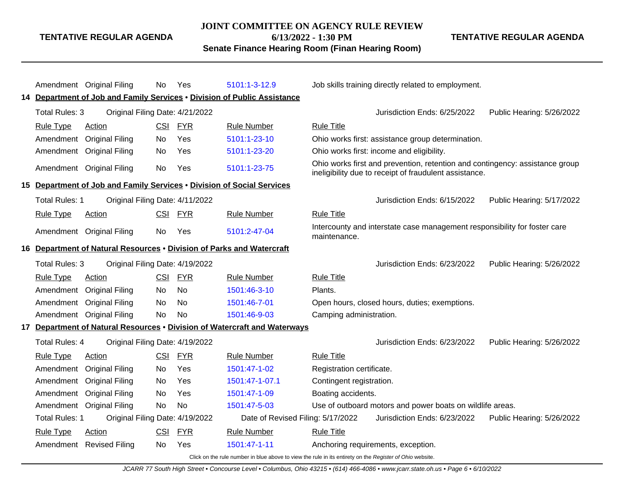#### **JOINT COMMITTEE ON AGENCY RULE REVIEW**

**TENTATIVE REGULAR AGENDA**

**6/13/2022 - 1:30 PM Senate Finance Hearing Room (Finan Hearing Room)** **TENTATIVE REGULAR AGENDA**

|                       | Amendment Original Filing                                              | No.        | Yes        | 5101:1-3-12.9                                                             |                                                                                                                                        | Job skills training directly related to employment.                       |                           |
|-----------------------|------------------------------------------------------------------------|------------|------------|---------------------------------------------------------------------------|----------------------------------------------------------------------------------------------------------------------------------------|---------------------------------------------------------------------------|---------------------------|
|                       |                                                                        |            |            | 14 Department of Job and Family Services . Division of Public Assistance  |                                                                                                                                        |                                                                           |                           |
| Total Rules: 3        | Original Filing Date: 4/21/2022                                        |            |            |                                                                           |                                                                                                                                        | Jurisdiction Ends: 6/25/2022                                              | Public Hearing: 5/26/2022 |
| <b>Rule Type</b>      | Action                                                                 | CSI        | <b>FYR</b> | <b>Rule Number</b>                                                        | <b>Rule Title</b>                                                                                                                      |                                                                           |                           |
| Amendment             | <b>Original Filing</b>                                                 | No         | Yes        | 5101:1-23-10                                                              |                                                                                                                                        | Ohio works first: assistance group determination.                         |                           |
| Amendment             | <b>Original Filing</b>                                                 | No         | Yes        | 5101:1-23-20                                                              | Ohio works first: income and eligibility.                                                                                              |                                                                           |                           |
|                       | Amendment Original Filing                                              | No         | Yes        | 5101:1-23-75                                                              | Ohio works first and prevention, retention and contingency: assistance group<br>ineligibility due to receipt of fraudulent assistance. |                                                                           |                           |
|                       | 15 Department of Job and Family Services . Division of Social Services |            |            |                                                                           |                                                                                                                                        |                                                                           |                           |
| Total Rules: 1        | Original Filing Date: 4/11/2022                                        |            |            |                                                                           |                                                                                                                                        | Jurisdiction Ends: 6/15/2022                                              | Public Hearing: 5/17/2022 |
| <b>Rule Type</b>      | Action                                                                 | <b>CSI</b> | <u>FYR</u> | <b>Rule Number</b>                                                        | <b>Rule Title</b>                                                                                                                      |                                                                           |                           |
|                       | Amendment Original Filing                                              | No         | Yes        | 5101:2-47-04                                                              | maintenance.                                                                                                                           | Intercounty and interstate case management responsibility for foster care |                           |
|                       | 16 Department of Natural Resources . Division of Parks and Watercraft  |            |            |                                                                           |                                                                                                                                        |                                                                           |                           |
| Total Rules: 3        | Original Filing Date: 4/19/2022                                        |            |            |                                                                           |                                                                                                                                        | Jurisdiction Ends: 6/23/2022                                              | Public Hearing: 5/26/2022 |
| <b>Rule Type</b>      | Action                                                                 | CSI        | <b>FYR</b> | <b>Rule Number</b>                                                        | <b>Rule Title</b>                                                                                                                      |                                                                           |                           |
| Amendment             | <b>Original Filing</b>                                                 | No         | <b>No</b>  | 1501:46-3-10                                                              | Plants.                                                                                                                                |                                                                           |                           |
| Amendment             | <b>Original Filing</b>                                                 | No         | No.        | 1501:46-7-01                                                              |                                                                                                                                        | Open hours, closed hours, duties; exemptions.                             |                           |
| Amendment             | <b>Original Filing</b>                                                 | No         | No         | 1501:46-9-03                                                              | Camping administration.                                                                                                                |                                                                           |                           |
|                       |                                                                        |            |            | 17 Department of Natural Resources . Division of Watercraft and Waterways |                                                                                                                                        |                                                                           |                           |
| <b>Total Rules: 4</b> | Original Filing Date: 4/19/2022                                        |            |            |                                                                           |                                                                                                                                        | Jurisdiction Ends: 6/23/2022                                              | Public Hearing: 5/26/2022 |
| <b>Rule Type</b>      | Action                                                                 | <b>CSI</b> | <b>FYR</b> | <b>Rule Number</b>                                                        | <b>Rule Title</b>                                                                                                                      |                                                                           |                           |
| Amendment             | <b>Original Filing</b>                                                 | No.        | Yes        | 1501:47-1-02                                                              | Registration certificate.                                                                                                              |                                                                           |                           |
| Amendment             | <b>Original Filing</b>                                                 | No         | Yes        | 1501:47-1-07.1                                                            | Contingent registration.                                                                                                               |                                                                           |                           |
| Amendment             | <b>Original Filing</b>                                                 | No         | Yes        | 1501:47-1-09                                                              | Boating accidents.                                                                                                                     |                                                                           |                           |
| Amendment             | <b>Original Filing</b>                                                 | No         | <b>No</b>  | 1501:47-5-03                                                              |                                                                                                                                        | Use of outboard motors and power boats on wildlife areas.                 |                           |
| <b>Total Rules: 1</b> | Original Filing Date: 4/19/2022                                        |            |            | Date of Revised Filing: 5/17/2022                                         |                                                                                                                                        | Jurisdiction Ends: 6/23/2022                                              | Public Hearing: 5/26/2022 |
| <b>Rule Type</b>      | Action                                                                 | CSI        | <b>FYR</b> | <b>Rule Number</b>                                                        | <b>Rule Title</b>                                                                                                                      |                                                                           |                           |
| Amendment             | <b>Revised Filing</b>                                                  | No         | Yes        | 1501:47-1-11                                                              | Anchoring requirements, exception.                                                                                                     |                                                                           |                           |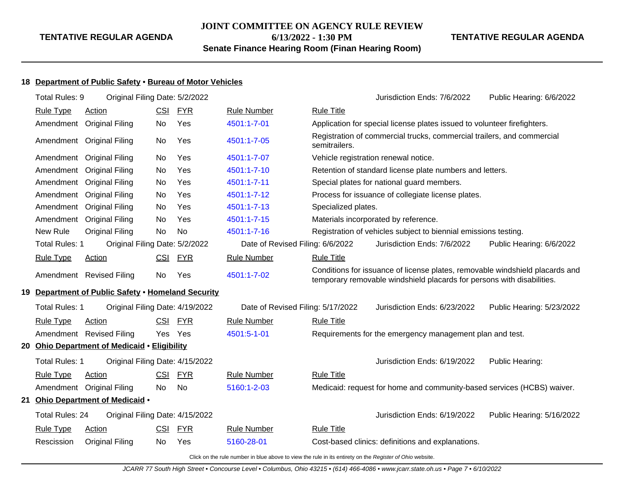# **JOINT COMMITTEE ON AGENCY RULE REVIEW**

**6/13/2022 - 1:30 PM**

**Senate Finance Hearing Room (Finan Hearing Room)**

#### **TENTATIVE REGULAR AGENDA**

# **18 Department of Public Safety** • **Bureau of Motor Vehicles**

|    | Total Rules: 9                                                                                           | Original Filing Date: 5/2/2022                     |            |            |                                   |                                      | Jurisdiction Ends: 7/6/2022                                                                                                                            | Public Hearing: 6/6/2022  |  |  |
|----|----------------------------------------------------------------------------------------------------------|----------------------------------------------------|------------|------------|-----------------------------------|--------------------------------------|--------------------------------------------------------------------------------------------------------------------------------------------------------|---------------------------|--|--|
|    | <b>Rule Type</b>                                                                                         | Action                                             | CSI        | <u>FYR</u> | <b>Rule Number</b>                | <b>Rule Title</b>                    |                                                                                                                                                        |                           |  |  |
|    |                                                                                                          | Amendment Original Filing                          | No         | Yes        | 4501:1-7-01                       |                                      | Application for special license plates issued to volunteer firefighters.                                                                               |                           |  |  |
|    |                                                                                                          | Amendment Original Filing                          | No         | Yes        | 4501:1-7-05                       | semitrailers.                        | Registration of commercial trucks, commercial trailers, and commercial                                                                                 |                           |  |  |
|    |                                                                                                          | Amendment Original Filing                          | No         | Yes        | 4501:1-7-07                       | Vehicle registration renewal notice. |                                                                                                                                                        |                           |  |  |
|    | Amendment                                                                                                | <b>Original Filing</b>                             | No         | Yes        | 4501:1-7-10                       |                                      | Retention of standard license plate numbers and letters.                                                                                               |                           |  |  |
|    | Amendment                                                                                                | <b>Original Filing</b>                             | No         | Yes        | 4501:1-7-11                       |                                      | Special plates for national guard members.                                                                                                             |                           |  |  |
|    |                                                                                                          | Amendment Original Filing                          | No         | Yes        | 4501:1-7-12                       |                                      | Process for issuance of collegiate license plates.                                                                                                     |                           |  |  |
|    |                                                                                                          | Amendment Original Filing                          | No         | Yes        | 4501:1-7-13                       | Specialized plates.                  |                                                                                                                                                        |                           |  |  |
|    |                                                                                                          | Amendment Original Filing                          | No         | Yes        | 4501:1-7-15                       |                                      | Materials incorporated by reference.                                                                                                                   |                           |  |  |
|    | New Rule                                                                                                 | <b>Original Filing</b>                             | No         | <b>No</b>  | 4501:1-7-16                       |                                      | Registration of vehicles subject to biennial emissions testing.                                                                                        |                           |  |  |
|    | <b>Total Rules: 1</b>                                                                                    | Original Filing Date: 5/2/2022                     |            |            | Date of Revised Filing: 6/6/2022  |                                      | Jurisdiction Ends: 7/6/2022                                                                                                                            | Public Hearing: 6/6/2022  |  |  |
|    | <b>Rule Type</b>                                                                                         | <b>Action</b>                                      |            | CSI FYR    | <b>Rule Number</b>                | <b>Rule Title</b>                    |                                                                                                                                                        |                           |  |  |
|    |                                                                                                          | Amendment Revised Filing                           | No         | Yes        | 4501:1-7-02                       |                                      | Conditions for issuance of license plates, removable windshield placards and<br>temporary removable windshield placards for persons with disabilities. |                           |  |  |
|    |                                                                                                          | 19 Department of Public Safety . Homeland Security |            |            |                                   |                                      |                                                                                                                                                        |                           |  |  |
|    | Total Rules: 1                                                                                           | Original Filing Date: 4/19/2022                    |            |            | Date of Revised Filing: 5/17/2022 |                                      | Jurisdiction Ends: 6/23/2022                                                                                                                           | Public Hearing: 5/23/2022 |  |  |
|    | <b>Rule Type</b>                                                                                         | <b>Action</b>                                      |            | CSI FYR    | <b>Rule Number</b>                | <b>Rule Title</b>                    |                                                                                                                                                        |                           |  |  |
|    |                                                                                                          | Amendment Revised Filing                           | Yes Yes    |            | 4501:5-1-01                       |                                      | Requirements for the emergency management plan and test.                                                                                               |                           |  |  |
| 20 |                                                                                                          | <b>Ohio Department of Medicaid • Eligibility</b>   |            |            |                                   |                                      |                                                                                                                                                        |                           |  |  |
|    | <b>Total Rules: 1</b>                                                                                    | Original Filing Date: 4/15/2022                    |            |            |                                   |                                      | Jurisdiction Ends: 6/19/2022                                                                                                                           | Public Hearing:           |  |  |
|    | <b>Rule Type</b>                                                                                         | Action                                             | <b>CSI</b> | <b>FYR</b> | <b>Rule Number</b>                | <b>Rule Title</b>                    |                                                                                                                                                        |                           |  |  |
|    |                                                                                                          | Amendment Original Filing                          | No         | No         | 5160:1-2-03                       |                                      | Medicaid: request for home and community-based services (HCBS) waiver.                                                                                 |                           |  |  |
| 21 |                                                                                                          | Ohio Department of Medicaid .                      |            |            |                                   |                                      |                                                                                                                                                        |                           |  |  |
|    | Total Rules: 24                                                                                          | Original Filing Date: 4/15/2022                    |            |            |                                   |                                      | Jurisdiction Ends: 6/19/2022                                                                                                                           | Public Hearing: 5/16/2022 |  |  |
|    | <b>Rule Type</b>                                                                                         | Action                                             | <u>CSI</u> | <b>FYR</b> | <b>Rule Number</b>                | <b>Rule Title</b>                    |                                                                                                                                                        |                           |  |  |
|    | Rescission                                                                                               | <b>Original Filing</b>                             | No         | Yes        | 5160-28-01                        |                                      | Cost-based clinics: definitions and explanations.                                                                                                      |                           |  |  |
|    | Click on the rule number in blue above to view the rule in its entirety on the Register of Ohio website. |                                                    |            |            |                                   |                                      |                                                                                                                                                        |                           |  |  |

JCARR 77 South High Street • Concourse Level • Columbus, Ohio 43215 • (614) 466-4086 • www.jcarr.state.oh.us • Page 7 • 6/10/2022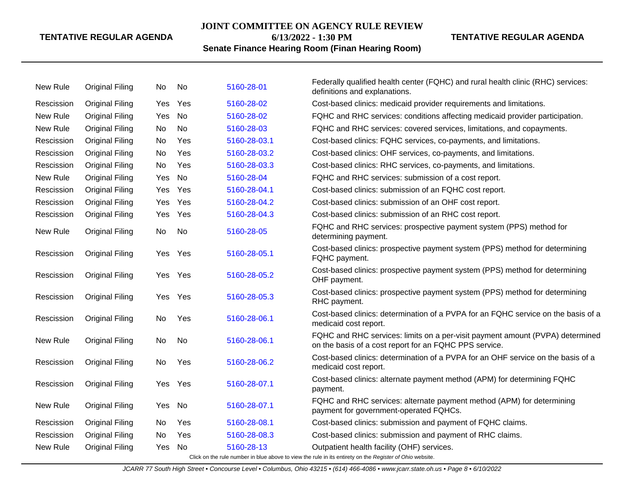#### **JOINT COMMITTEE ON AGENCY RULE REVIEW**

**6/13/2022 - 1:30 PM**

# **TENTATIVE REGULAR AGENDA**

# **Senate Finance Hearing Room (Finan Hearing Room)**

| New Rule   | <b>Original Filing</b> | No.        | No  | 5160-28-01   | Federally qualified health center (FQHC) and rural health clinic (RHC) services:<br>definitions and explanations.                       |
|------------|------------------------|------------|-----|--------------|-----------------------------------------------------------------------------------------------------------------------------------------|
| Rescission | <b>Original Filing</b> | Yes        | Yes | 5160-28-02   | Cost-based clinics: medicaid provider requirements and limitations.                                                                     |
| New Rule   | <b>Original Filing</b> | Yes        | No  | 5160-28-02   | FQHC and RHC services: conditions affecting medicaid provider participation.                                                            |
| New Rule   | <b>Original Filing</b> | No         | No  | 5160-28-03   | FQHC and RHC services: covered services, limitations, and copayments.                                                                   |
| Rescission | <b>Original Filing</b> | No         | Yes | 5160-28-03.1 | Cost-based clinics: FQHC services, co-payments, and limitations.                                                                        |
| Rescission | <b>Original Filing</b> | No         | Yes | 5160-28-03.2 | Cost-based clinics: OHF services, co-payments, and limitations.                                                                         |
| Rescission | <b>Original Filing</b> | <b>No</b>  | Yes | 5160-28-03.3 | Cost-based clinics: RHC services, co-payments, and limitations.                                                                         |
| New Rule   | <b>Original Filing</b> | Yes        | No  | 5160-28-04   | FQHC and RHC services: submission of a cost report.                                                                                     |
| Rescission | <b>Original Filing</b> | Yes        | Yes | 5160-28-04.1 | Cost-based clinics: submission of an FQHC cost report.                                                                                  |
| Rescission | <b>Original Filing</b> | <b>Yes</b> | Yes | 5160-28-04.2 | Cost-based clinics: submission of an OHF cost report.                                                                                   |
| Rescission | <b>Original Filing</b> | Yes        | Yes | 5160-28-04.3 | Cost-based clinics: submission of an RHC cost report.                                                                                   |
| New Rule   | <b>Original Filing</b> | No         | No  | 5160-28-05   | FQHC and RHC services: prospective payment system (PPS) method for<br>determining payment.                                              |
| Rescission | <b>Original Filing</b> | Yes        | Yes | 5160-28-05.1 | Cost-based clinics: prospective payment system (PPS) method for determining<br>FQHC payment.                                            |
| Rescission | <b>Original Filing</b> | Yes        | Yes | 5160-28-05.2 | Cost-based clinics: prospective payment system (PPS) method for determining<br>OHF payment.                                             |
| Rescission | <b>Original Filing</b> | Yes        | Yes | 5160-28-05.3 | Cost-based clinics: prospective payment system (PPS) method for determining<br>RHC payment.                                             |
| Rescission | <b>Original Filing</b> | No.        | Yes | 5160-28-06.1 | Cost-based clinics: determination of a PVPA for an FQHC service on the basis of a<br>medicaid cost report.                              |
| New Rule   | <b>Original Filing</b> | No         | No  | 5160-28-06.1 | FQHC and RHC services: limits on a per-visit payment amount (PVPA) determined<br>on the basis of a cost report for an FQHC PPS service. |
| Rescission | <b>Original Filing</b> | No         | Yes | 5160-28-06.2 | Cost-based clinics: determination of a PVPA for an OHF service on the basis of a<br>medicaid cost report.                               |
| Rescission | <b>Original Filing</b> | Yes        | Yes | 5160-28-07.1 | Cost-based clinics: alternate payment method (APM) for determining FQHC<br>payment.                                                     |
| New Rule   | <b>Original Filing</b> | Yes        | No  | 5160-28-07.1 | FQHC and RHC services: alternate payment method (APM) for determining<br>payment for government-operated FQHCs.                         |
| Rescission | <b>Original Filing</b> | No.        | Yes | 5160-28-08.1 | Cost-based clinics: submission and payment of FQHC claims.                                                                              |
| Rescission | <b>Original Filing</b> | No         | Yes | 5160-28-08.3 | Cost-based clinics: submission and payment of RHC claims.                                                                               |
| New Rule   | <b>Original Filing</b> | Yes        | No  | 5160-28-13   | Outpatient health facility (OHF) services.                                                                                              |
|            |                        |            |     |              | Click on the rule number in blue above to view the rule in its entirety on the Register of Ohio website.                                |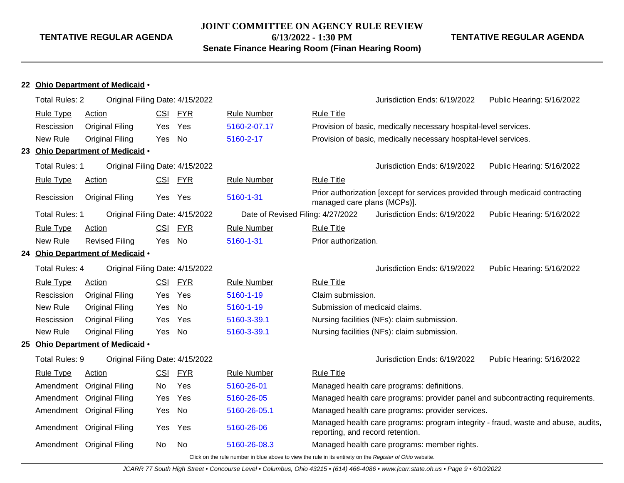**JOINT COMMITTEE ON AGENCY RULE REVIEW**

**6/13/2022 - 1:30 PM**

**Senate Finance Hearing Room (Finan Hearing Room)**

# **TENTATIVE REGULAR AGENDA**

|--|

|                                                   | <b>Total Rules: 2</b>                          | Original Filing Date: 4/15/2022  |            |            |                                                                                                          |                                                                                                                       | Jurisdiction Ends: 6/19/2022                                                   | Public Hearing: 5/16/2022                                                     |  |
|---------------------------------------------------|------------------------------------------------|----------------------------------|------------|------------|----------------------------------------------------------------------------------------------------------|-----------------------------------------------------------------------------------------------------------------------|--------------------------------------------------------------------------------|-------------------------------------------------------------------------------|--|
|                                                   | <b>Rule Type</b>                               | Action                           | <u>CSI</u> | <b>FYR</b> | <b>Rule Number</b>                                                                                       | <b>Rule Title</b>                                                                                                     |                                                                                |                                                                               |  |
|                                                   | Rescission                                     | Original Filing                  | Yes        | Yes        | 5160-2-07.17                                                                                             |                                                                                                                       | Provision of basic, medically necessary hospital-level services.               |                                                                               |  |
|                                                   | New Rule                                       | <b>Original Filing</b>           | <b>Yes</b> | No         | 5160-2-17                                                                                                |                                                                                                                       | Provision of basic, medically necessary hospital-level services.               |                                                                               |  |
|                                                   |                                                | 23 Ohio Department of Medicaid . |            |            |                                                                                                          |                                                                                                                       |                                                                                |                                                                               |  |
|                                                   | <b>Total Rules: 1</b>                          | Original Filing Date: 4/15/2022  |            |            |                                                                                                          |                                                                                                                       | Jurisdiction Ends: 6/19/2022                                                   | Public Hearing: 5/16/2022                                                     |  |
|                                                   | <b>Rule Type</b>                               | <b>Action</b>                    | CSI        | <u>FYR</u> | <b>Rule Number</b>                                                                                       | <b>Rule Title</b>                                                                                                     |                                                                                |                                                                               |  |
|                                                   | Rescission                                     | <b>Original Filing</b>           |            | Yes Yes    | 5160-1-31                                                                                                | managed care plans (MCPs)].                                                                                           | Prior authorization [except for services provided through medicaid contracting |                                                                               |  |
|                                                   | <b>Total Rules: 1</b>                          | Original Filing Date: 4/15/2022  |            |            | Date of Revised Filing: 4/27/2022                                                                        |                                                                                                                       | Jurisdiction Ends: 6/19/2022                                                   | Public Hearing: 5/16/2022                                                     |  |
|                                                   | <b>Rule Type</b>                               | Action                           | <b>CSI</b> | <b>FYR</b> | <b>Rule Number</b>                                                                                       | <b>Rule Title</b>                                                                                                     |                                                                                |                                                                               |  |
|                                                   | New Rule<br><b>Revised Filing</b><br>No<br>Yes |                                  |            |            | 5160-1-31                                                                                                | Prior authorization.                                                                                                  |                                                                                |                                                                               |  |
|                                                   |                                                | 24 Ohio Department of Medicaid . |            |            |                                                                                                          |                                                                                                                       |                                                                                |                                                                               |  |
| Total Rules: 4<br>Original Filing Date: 4/15/2022 |                                                |                                  |            |            |                                                                                                          | Jurisdiction Ends: 6/19/2022                                                                                          | Public Hearing: 5/16/2022                                                      |                                                                               |  |
|                                                   | <b>Rule Type</b>                               | Action                           | <b>CSI</b> | <b>FYR</b> | <b>Rule Number</b>                                                                                       | <b>Rule Title</b>                                                                                                     |                                                                                |                                                                               |  |
|                                                   | Rescission                                     | Original Filing                  | Yes        | Yes        | 5160-1-19                                                                                                | Claim submission.                                                                                                     |                                                                                |                                                                               |  |
|                                                   | New Rule                                       | <b>Original Filing</b>           | Yes        | No         | 5160-1-19                                                                                                | Submission of medicaid claims.                                                                                        |                                                                                |                                                                               |  |
|                                                   | Rescission                                     | <b>Original Filing</b>           | Yes        | Yes        | 5160-3-39.1                                                                                              |                                                                                                                       | Nursing facilities (NFs): claim submission.                                    |                                                                               |  |
|                                                   | New Rule                                       | <b>Original Filing</b>           | Yes        | No         | 5160-3-39.1                                                                                              |                                                                                                                       | Nursing facilities (NFs): claim submission.                                    |                                                                               |  |
|                                                   |                                                | 25 Ohio Department of Medicaid . |            |            |                                                                                                          |                                                                                                                       |                                                                                |                                                                               |  |
|                                                   | Total Rules: 9                                 | Original Filing Date: 4/15/2022  |            |            |                                                                                                          |                                                                                                                       | Jurisdiction Ends: 6/19/2022                                                   | Public Hearing: 5/16/2022                                                     |  |
|                                                   | <b>Rule Type</b>                               | <b>Action</b>                    | <u>CSI</u> | <b>FYR</b> | <b>Rule Number</b>                                                                                       | <b>Rule Title</b>                                                                                                     |                                                                                |                                                                               |  |
|                                                   | Amendment                                      | <b>Original Filing</b>           | No         | Yes        | 5160-26-01                                                                                               |                                                                                                                       | Managed health care programs: definitions.                                     |                                                                               |  |
|                                                   | Amendment                                      | <b>Original Filing</b>           | Yes        | Yes        | 5160-26-05                                                                                               |                                                                                                                       |                                                                                | Managed health care programs: provider panel and subcontracting requirements. |  |
|                                                   |                                                | Amendment Original Filing        | Yes        | <b>No</b>  | 5160-26-05.1                                                                                             |                                                                                                                       | Managed health care programs: provider services.                               |                                                                               |  |
|                                                   |                                                | Amendment Original Filing        | Yes        | Yes        | 5160-26-06                                                                                               | Managed health care programs: program integrity - fraud, waste and abuse, audits,<br>reporting, and record retention. |                                                                                |                                                                               |  |
|                                                   |                                                | Amendment Original Filing        | No         | No         | 5160-26-08.3                                                                                             |                                                                                                                       | Managed health care programs: member rights.                                   |                                                                               |  |
|                                                   |                                                |                                  |            |            | Click on the rule number in blue above to view the rule in its entirety on the Register of Ohio website. |                                                                                                                       |                                                                                |                                                                               |  |

JCARR 77 South High Street • Concourse Level • Columbus, Ohio 43215 • (614) 466-4086 • www.jcarr.state.oh.us • Page 9 • 6/10/2022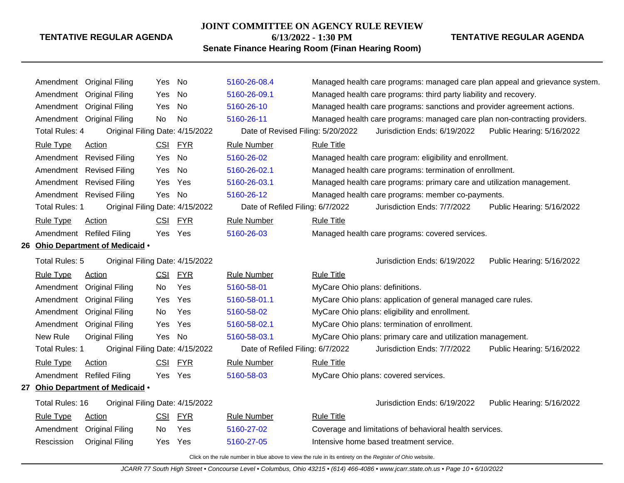#### **JOINT COMMITTEE ON AGENCY RULE REVIEW**

**6/13/2022 - 1:30 PM**

# **TENTATIVE REGULAR AGENDA**

# **Senate Finance Hearing Room (Finan Hearing Room)**

|                                  | Amendment Original Filing                         | Yes        | No         | 5160-26-08.4                      |                                 |                                                                            | Managed health care programs: managed care plan appeal and grievance system. |
|----------------------------------|---------------------------------------------------|------------|------------|-----------------------------------|---------------------------------|----------------------------------------------------------------------------|------------------------------------------------------------------------------|
|                                  | Amendment Original Filing                         | Yes        | No         | 5160-26-09.1                      |                                 | Managed health care programs: third party liability and recovery.          |                                                                              |
|                                  | Amendment Original Filing                         | Yes        | No         | 5160-26-10                        |                                 | Managed health care programs: sanctions and provider agreement actions.    |                                                                              |
|                                  | Amendment Original Filing                         | No         | <b>No</b>  | 5160-26-11                        |                                 | Managed health care programs: managed care plan non-contracting providers. |                                                                              |
| Total Rules: 4                   | Original Filing Date: 4/15/2022                   |            |            | Date of Revised Filing: 5/20/2022 |                                 | Jurisdiction Ends: 6/19/2022                                               | Public Hearing: 5/16/2022                                                    |
| <b>Rule Type</b>                 | <b>Action</b>                                     | <u>CSI</u> | <u>FYR</u> | <b>Rule Number</b>                | <b>Rule Title</b>               |                                                                            |                                                                              |
|                                  | Amendment Revised Filing                          | Yes        | <b>No</b>  | 5160-26-02                        |                                 | Managed health care program: eligibility and enrollment.                   |                                                                              |
|                                  | Amendment Revised Filing                          | Yes        | No         | 5160-26-02.1                      |                                 | Managed health care programs: termination of enrollment.                   |                                                                              |
|                                  | Amendment Revised Filing                          | Yes        | Yes        | 5160-26-03.1                      |                                 | Managed health care programs: primary care and utilization management.     |                                                                              |
|                                  | Amendment Revised Filing                          | Yes        | No         | 5160-26-12                        |                                 | Managed health care programs: member co-payments.                          |                                                                              |
| Total Rules: 1                   | Original Filing Date: 4/15/2022                   |            |            | Date of Refiled Filing: 6/7/2022  |                                 | Jurisdiction Ends: 7/7/2022                                                | Public Hearing: 5/16/2022                                                    |
| <b>Rule Type</b>                 | Action                                            | <b>CSI</b> | <b>FYR</b> | <b>Rule Number</b>                | <b>Rule Title</b>               |                                                                            |                                                                              |
|                                  | Amendment Refiled Filing                          |            | Yes Yes    | 5160-26-03                        |                                 | Managed health care programs: covered services.                            |                                                                              |
| 26 Ohio Department of Medicaid . |                                                   |            |            |                                   |                                 |                                                                            |                                                                              |
|                                  | Total Rules: 5<br>Original Filing Date: 4/15/2022 |            |            |                                   |                                 | Jurisdiction Ends: 6/19/2022                                               | Public Hearing: 5/16/2022                                                    |
| <b>Rule Type</b>                 | Action                                            | <u>CSI</u> | <b>FYR</b> | <b>Rule Number</b>                | <b>Rule Title</b>               |                                                                            |                                                                              |
|                                  | Amendment Original Filing                         | No         | Yes        | 5160-58-01                        | MyCare Ohio plans: definitions. |                                                                            |                                                                              |
|                                  | Amendment Original Filing                         | Yes        | Yes        | 5160-58-01.1                      |                                 | MyCare Ohio plans: application of general managed care rules.              |                                                                              |
|                                  | Amendment Original Filing                         | No         | Yes        | 5160-58-02                        |                                 | MyCare Ohio plans: eligibility and enrollment.                             |                                                                              |
|                                  | Amendment Original Filing                         | Yes        | Yes        | 5160-58-02.1                      |                                 | MyCare Ohio plans: termination of enrollment.                              |                                                                              |
| New Rule                         | <b>Original Filing</b>                            | Yes        | No         | 5160-58-03.1                      |                                 | MyCare Ohio plans: primary care and utilization management.                |                                                                              |
| Total Rules: 1                   | Original Filing Date: 4/15/2022                   |            |            | Date of Refiled Filing: 6/7/2022  |                                 | Jurisdiction Ends: 7/7/2022                                                | Public Hearing: 5/16/2022                                                    |
| <b>Rule Type</b>                 | Action                                            | <b>CSI</b> | <b>FYR</b> | <b>Rule Number</b>                | <b>Rule Title</b>               |                                                                            |                                                                              |
|                                  | Amendment Refiled Filing                          | Yes Yes    |            | 5160-58-03                        |                                 | MyCare Ohio plans: covered services.                                       |                                                                              |
|                                  | 27 Ohio Department of Medicaid .                  |            |            |                                   |                                 |                                                                            |                                                                              |
| Total Rules: 16                  | Original Filing Date: 4/15/2022                   |            |            |                                   |                                 | Jurisdiction Ends: 6/19/2022                                               | Public Hearing: 5/16/2022                                                    |
| <b>Rule Type</b>                 | Action                                            | <u>CSI</u> | <b>FYR</b> | <b>Rule Number</b>                | <b>Rule Title</b>               |                                                                            |                                                                              |
|                                  | Amendment Original Filing                         | No         | Yes        | 5160-27-02                        |                                 | Coverage and limitations of behavioral health services.                    |                                                                              |
| Rescission                       | <b>Original Filing</b>                            | Yes        | <b>Yes</b> | 5160-27-05                        |                                 | Intensive home based treatment service.                                    |                                                                              |
|                                  |                                                   |            |            |                                   |                                 |                                                                            |                                                                              |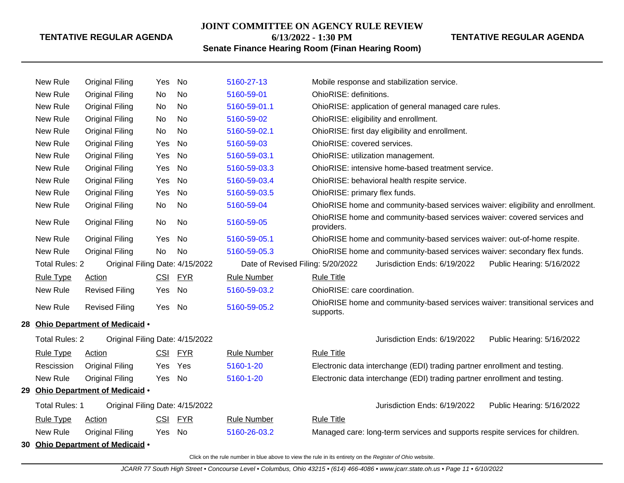# **JOINT COMMITTEE ON AGENCY RULE REVIEW 6/13/2022 - 1:30 PM**

# **TENTATIVE REGULAR AGENDA**

**Senate Finance Hearing Room (Finan Hearing Room)**

|    | New Rule                      | <b>Original Filing</b>           | Yes        | No         | 5160-27-13                        | Mobile response and stabilization service.                                                |  |  |  |
|----|-------------------------------|----------------------------------|------------|------------|-----------------------------------|-------------------------------------------------------------------------------------------|--|--|--|
|    | New Rule                      | <b>Original Filing</b>           | No         | No         | 5160-59-01                        | OhioRISE: definitions.                                                                    |  |  |  |
|    | New Rule                      | <b>Original Filing</b>           | No         | No         | 5160-59-01.1                      | OhioRISE: application of general managed care rules.                                      |  |  |  |
|    | New Rule                      | <b>Original Filing</b>           | No         | <b>No</b>  | 5160-59-02                        | OhioRISE: eligibility and enrollment.                                                     |  |  |  |
|    | New Rule                      | <b>Original Filing</b>           | No         | No         | 5160-59-02.1                      | OhioRISE: first day eligibility and enrollment.                                           |  |  |  |
|    | New Rule                      | <b>Original Filing</b>           | Yes        | No         | 5160-59-03                        | OhioRISE: covered services.                                                               |  |  |  |
|    | New Rule                      | <b>Original Filing</b>           | Yes        | No         | 5160-59-03.1                      | OhioRISE: utilization management.                                                         |  |  |  |
|    | New Rule                      | <b>Original Filing</b>           | Yes        | No         | 5160-59-03.3                      | OhioRISE: intensive home-based treatment service.                                         |  |  |  |
|    | New Rule                      | <b>Original Filing</b>           | Yes        | No         | 5160-59-03.4                      | OhioRISE: behavioral health respite service.                                              |  |  |  |
|    | New Rule                      | <b>Original Filing</b>           | Yes        | No         | 5160-59-03.5                      | OhioRISE: primary flex funds.                                                             |  |  |  |
|    | New Rule                      | <b>Original Filing</b>           | No         | No         | 5160-59-04                        | OhioRISE home and community-based services waiver: eligibility and enrollment.            |  |  |  |
|    | New Rule                      | <b>Original Filing</b>           | No         | No.        | 5160-59-05                        | OhioRISE home and community-based services waiver: covered services and<br>providers.     |  |  |  |
|    | New Rule                      | <b>Original Filing</b>           | Yes        | No         | 5160-59-05.1                      | OhioRISE home and community-based services waiver: out-of-home respite.                   |  |  |  |
|    | New Rule                      | <b>Original Filing</b>           | No         | No         | 5160-59-05.3                      | OhioRISE home and community-based services waiver: secondary flex funds.                  |  |  |  |
|    | <b>Total Rules: 2</b>         | Original Filing Date: 4/15/2022  |            |            | Date of Revised Filing: 5/20/2022 | Jurisdiction Ends: 6/19/2022<br>Public Hearing: 5/16/2022                                 |  |  |  |
|    | Rule Type                     | <b>Action</b>                    | <b>CSI</b> | <b>FYR</b> | <b>Rule Number</b>                | <b>Rule Title</b>                                                                         |  |  |  |
|    | New Rule                      | <b>Revised Filing</b>            | Yes        | No         | 5160-59-03.2                      | OhioRISE: care coordination.                                                              |  |  |  |
|    | New Rule                      | <b>Revised Filing</b>            | Yes        | No         | 5160-59-05.2                      | OhioRISE home and community-based services waiver: transitional services and<br>supports. |  |  |  |
|    |                               | 28 Ohio Department of Medicaid . |            |            |                                   |                                                                                           |  |  |  |
|    | <b>Total Rules: 2</b>         | Original Filing Date: 4/15/2022  |            |            |                                   | Jurisdiction Ends: 6/19/2022<br>Public Hearing: 5/16/2022                                 |  |  |  |
|    | <b>Rule Type</b>              | <b>Action</b>                    | <u>CSI</u> | <u>FYR</u> | <b>Rule Number</b>                | <b>Rule Title</b>                                                                         |  |  |  |
|    | Rescission                    | <b>Original Filing</b>           | Yes        | Yes        | 5160-1-20                         | Electronic data interchange (EDI) trading partner enrollment and testing.                 |  |  |  |
|    | New Rule                      | <b>Original Filing</b>           | Yes        | No         | 5160-1-20                         | Electronic data interchange (EDI) trading partner enrollment and testing.                 |  |  |  |
| 29 | Ohio Department of Medicaid . |                                  |            |            |                                   |                                                                                           |  |  |  |
|    | <b>Total Rules: 1</b>         | Original Filing Date: 4/15/2022  |            |            |                                   | Jurisdiction Ends: 6/19/2022<br>Public Hearing: 5/16/2022                                 |  |  |  |
|    | <b>Rule Type</b>              | Action                           | <b>CSI</b> | <b>FYR</b> | <b>Rule Number</b>                | <b>Rule Title</b>                                                                         |  |  |  |
|    | New Rule                      | <b>Original Filing</b>           | Yes No     |            | 5160-26-03.2                      | Managed care: long-term services and supports respite services for children.              |  |  |  |
|    |                               | 30 Ohio Department of Medicaid . |            |            |                                   |                                                                                           |  |  |  |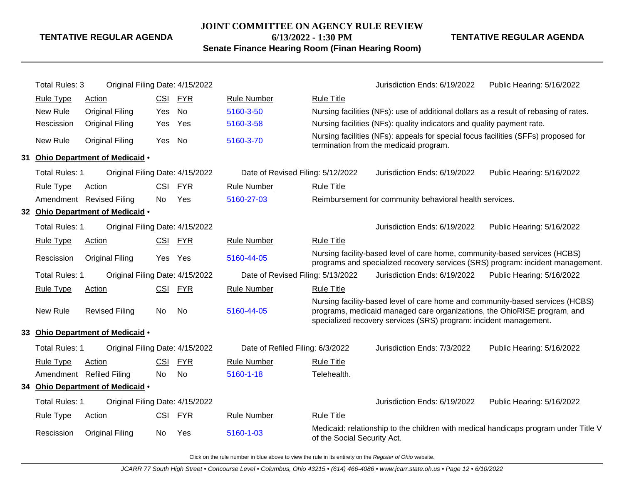**JOINT COMMITTEE ON AGENCY RULE REVIEW**

**6/13/2022 - 1:30 PM**

**Senate Finance Hearing Room (Finan Hearing Room)**

## **TENTATIVE REGULAR AGENDA**

|    | Total Rules: 3        | Original Filing Date: 4/15/2022  |            |            |                                   |                             | Jurisdiction Ends: 6/19/2022                                                                                                                                                                                                   | Public Hearing: 5/16/2022                                                           |
|----|-----------------------|----------------------------------|------------|------------|-----------------------------------|-----------------------------|--------------------------------------------------------------------------------------------------------------------------------------------------------------------------------------------------------------------------------|-------------------------------------------------------------------------------------|
|    | <b>Rule Type</b>      | <b>Action</b>                    |            | CSI FYR    | <b>Rule Number</b>                | <b>Rule Title</b>           |                                                                                                                                                                                                                                |                                                                                     |
|    | New Rule              | <b>Original Filing</b>           | Yes        | No         | 5160-3-50                         |                             | Nursing facilities (NFs): use of additional dollars as a result of rebasing of rates.                                                                                                                                          |                                                                                     |
|    | Rescission            | <b>Original Filing</b>           | Yes        | Yes        | 5160-3-58                         |                             | Nursing facilities (NFs): quality indicators and quality payment rate.                                                                                                                                                         |                                                                                     |
|    | New Rule              | <b>Original Filing</b>           | Yes No     |            | 5160-3-70                         |                             | Nursing facilities (NFs): appeals for special focus facilities (SFFs) proposed for<br>termination from the medicaid program.                                                                                                   |                                                                                     |
| 31 |                       | Ohio Department of Medicaid .    |            |            |                                   |                             |                                                                                                                                                                                                                                |                                                                                     |
|    | Total Rules: 1        | Original Filing Date: 4/15/2022  |            |            | Date of Revised Filing: 5/12/2022 |                             | Jurisdiction Ends: 6/19/2022                                                                                                                                                                                                   | Public Hearing: 5/16/2022                                                           |
|    | <b>Rule Type</b>      | Action                           | CSI        | <b>FYR</b> | <b>Rule Number</b>                | <b>Rule Title</b>           |                                                                                                                                                                                                                                |                                                                                     |
|    |                       | Amendment Revised Filing         | No         | Yes        | 5160-27-03                        |                             | Reimbursement for community behavioral health services.                                                                                                                                                                        |                                                                                     |
|    |                       | 32 Ohio Department of Medicaid . |            |            |                                   |                             |                                                                                                                                                                                                                                |                                                                                     |
|    | Total Rules: 1        | Original Filing Date: 4/15/2022  |            |            |                                   |                             | Jurisdiction Ends: 6/19/2022                                                                                                                                                                                                   | Public Hearing: 5/16/2022                                                           |
|    | <b>Rule Type</b>      | <b>Action</b>                    |            | CSI FYR    | <b>Rule Number</b>                | <b>Rule Title</b>           |                                                                                                                                                                                                                                |                                                                                     |
|    | Rescission            | <b>Original Filing</b>           |            | Yes Yes    | 5160-44-05                        |                             | Nursing facility-based level of care home, community-based services (HCBS)                                                                                                                                                     | programs and specialized recovery services (SRS) program: incident management.      |
|    | Total Rules: 1        | Original Filing Date: 4/15/2022  |            |            | Date of Revised Filing: 5/13/2022 |                             | Jurisdiction Ends: 6/19/2022                                                                                                                                                                                                   | Public Hearing: 5/16/2022                                                           |
|    | <b>Rule Type</b>      | Action                           | <b>CSI</b> | <b>FYR</b> | <b>Rule Number</b>                | <b>Rule Title</b>           |                                                                                                                                                                                                                                |                                                                                     |
|    | New Rule              | <b>Revised Filing</b>            | <b>No</b>  | No         | 5160-44-05                        |                             | Nursing facility-based level of care home and community-based services (HCBS)<br>programs, medicaid managed care organizations, the OhioRISE program, and<br>specialized recovery services (SRS) program: incident management. |                                                                                     |
|    |                       | 33 Ohio Department of Medicaid . |            |            |                                   |                             |                                                                                                                                                                                                                                |                                                                                     |
|    | Total Rules: 1        | Original Filing Date: 4/15/2022  |            |            | Date of Refiled Filing: 6/3/2022  |                             | Jurisdiction Ends: 7/3/2022                                                                                                                                                                                                    | Public Hearing: 5/16/2022                                                           |
|    | <b>Rule Type</b>      | <b>Action</b>                    | <b>CSI</b> | <b>FYR</b> | <b>Rule Number</b>                | <b>Rule Title</b>           |                                                                                                                                                                                                                                |                                                                                     |
|    |                       | Amendment Refiled Filing         | <b>No</b>  | No         | 5160-1-18                         | Telehealth.                 |                                                                                                                                                                                                                                |                                                                                     |
|    |                       | 34 Ohio Department of Medicaid . |            |            |                                   |                             |                                                                                                                                                                                                                                |                                                                                     |
|    | <b>Total Rules: 1</b> | Original Filing Date: 4/15/2022  |            |            |                                   |                             | Jurisdiction Ends: 6/19/2022                                                                                                                                                                                                   | Public Hearing: 5/16/2022                                                           |
|    | <b>Rule Type</b>      | <b>Action</b>                    | <u>CSI</u> | <u>FYR</u> | <b>Rule Number</b>                | <b>Rule Title</b>           |                                                                                                                                                                                                                                |                                                                                     |
|    | Rescission            | <b>Original Filing</b>           | No.        | Yes        | 5160-1-03                         | of the Social Security Act. |                                                                                                                                                                                                                                | Medicaid: relationship to the children with medical handicaps program under Title V |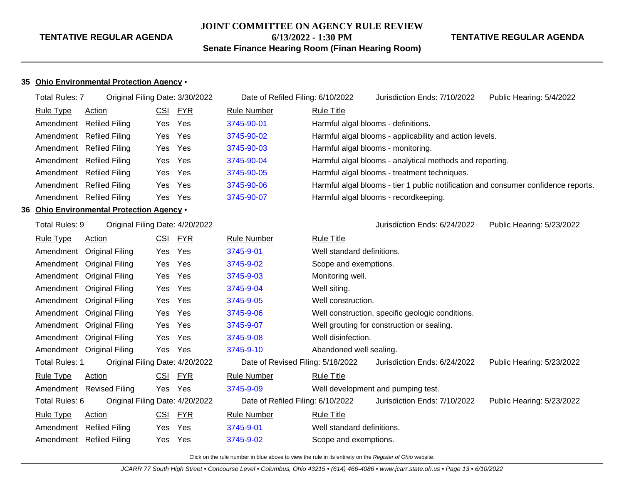#### **JOINT COMMITTEE ON AGENCY RULE REVIEW**

**6/13/2022 - 1:30 PM**

**Senate Finance Hearing Room (Finan Hearing Room)**

#### **TENTATIVE REGULAR AGENDA**

#### **35 Ohio Environmental Protection Agency** •

|    | <b>Total Rules: 7</b> | Original Filing Date: 3/30/2022        |            |            | Date of Refiled Filing: 6/10/2022 |                            | Jurisdiction Ends: 7/10/2022                                                       | Public Hearing: 5/4/2022  |
|----|-----------------------|----------------------------------------|------------|------------|-----------------------------------|----------------------------|------------------------------------------------------------------------------------|---------------------------|
|    | <b>Rule Type</b>      | Action                                 | <b>CSI</b> | FYR        | <b>Rule Number</b>                | <b>Rule Title</b>          |                                                                                    |                           |
|    |                       | Amendment Refiled Filing               | Yes        | Yes        | 3745-90-01                        |                            | Harmful algal blooms - definitions.                                                |                           |
|    |                       | Amendment Refiled Filing               | Yes        | Yes        | 3745-90-02                        |                            | Harmful algal blooms - applicability and action levels.                            |                           |
|    |                       | Amendment Refiled Filing               | Yes        | Yes        | 3745-90-03                        |                            | Harmful algal blooms - monitoring.                                                 |                           |
|    |                       | Amendment Refiled Filing               | Yes        | Yes        | 3745-90-04                        |                            | Harmful algal blooms - analytical methods and reporting.                           |                           |
|    |                       | Amendment Refiled Filing               | Yes        | Yes        | 3745-90-05                        |                            | Harmful algal blooms - treatment techniques.                                       |                           |
|    |                       | Amendment Refiled Filing               | Yes        | Yes        | 3745-90-06                        |                            | Harmful algal blooms - tier 1 public notification and consumer confidence reports. |                           |
|    |                       | Amendment Refiled Filing               | Yes        | Yes        | 3745-90-07                        |                            | Harmful algal blooms - recordkeeping.                                              |                           |
| 36 |                       | Ohio Environmental Protection Agency . |            |            |                                   |                            |                                                                                    |                           |
|    | Total Rules: 9        | Original Filing Date: 4/20/2022        |            |            |                                   |                            | Jurisdiction Ends: 6/24/2022                                                       | Public Hearing: 5/23/2022 |
|    | <b>Rule Type</b>      | Action                                 |            | CSI FYR    | <b>Rule Number</b>                | <b>Rule Title</b>          |                                                                                    |                           |
|    |                       | Amendment Original Filing              | Yes        | Yes        | 3745-9-01                         | Well standard definitions. |                                                                                    |                           |
|    |                       | Amendment Original Filing              | Yes        | Yes        | 3745-9-02                         | Scope and exemptions.      |                                                                                    |                           |
|    |                       | Amendment Original Filing              | Yes        | Yes        | 3745-9-03                         | Monitoring well.           |                                                                                    |                           |
|    |                       | Amendment Original Filing              | Yes        | Yes        | 3745-9-04                         | Well siting.               |                                                                                    |                           |
|    |                       | Amendment Original Filing              | Yes        | Yes        | 3745-9-05                         | Well construction.         |                                                                                    |                           |
|    |                       | Amendment Original Filing              | Yes        | Yes        | 3745-9-06                         |                            | Well construction, specific geologic conditions.                                   |                           |
|    |                       | Amendment Original Filing              | Yes        | Yes        | 3745-9-07                         |                            | Well grouting for construction or sealing.                                         |                           |
|    |                       | Amendment Original Filing              | Yes        | Yes        | 3745-9-08                         | Well disinfection.         |                                                                                    |                           |
|    |                       | Amendment Original Filing              | Yes        | Yes        | 3745-9-10                         | Abandoned well sealing.    |                                                                                    |                           |
|    | Total Rules: 1        | Original Filing Date: 4/20/2022        |            |            | Date of Revised Filing: 5/18/2022 |                            | Jurisdiction Ends: 6/24/2022                                                       | Public Hearing: 5/23/2022 |
|    | <b>Rule Type</b>      | Action                                 | <u>CSI</u> | <b>FYR</b> | <b>Rule Number</b>                | <b>Rule Title</b>          |                                                                                    |                           |
|    |                       | Amendment Revised Filing               | Yes Yes    |            | 3745-9-09                         |                            | Well development and pumping test.                                                 |                           |
|    | Total Rules: 6        | Original Filing Date: 4/20/2022        |            |            | Date of Refiled Filing: 6/10/2022 |                            | Jurisdiction Ends: 7/10/2022                                                       | Public Hearing: 5/23/2022 |
|    | Rule Type             | <b>Action</b>                          | CSI        | <b>FYR</b> | <b>Rule Number</b>                | <b>Rule Title</b>          |                                                                                    |                           |
|    |                       | Amendment Refiled Filing               | Yes        | Yes        | 3745-9-01                         | Well standard definitions. |                                                                                    |                           |
|    |                       | Amendment Refiled Filing               | Yes        | Yes        | 3745-9-02                         | Scope and exemptions.      |                                                                                    |                           |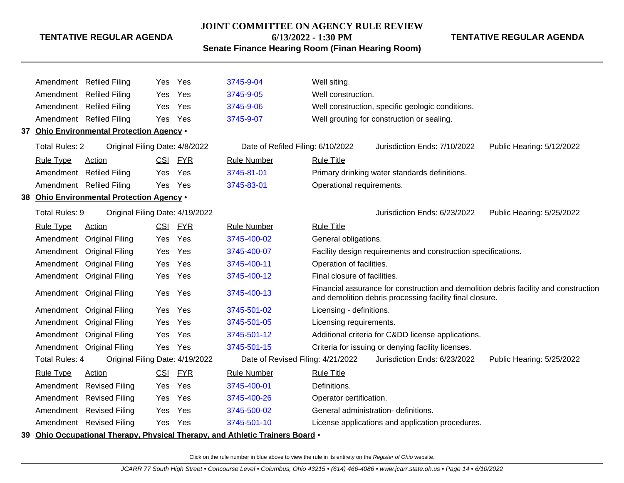#### **JOINT COMMITTEE ON AGENCY RULE REVIEW**

**6/13/2022 - 1:30 PM**

**TENTATIVE REGULAR AGENDA**

**Senate Finance Hearing Room (Finan Hearing Room)**

|                       | Amendment Refiled Filing                  | Yes        | Yes        | 3745-9-04                                                                     | Well siting.                                                                                                                                     |
|-----------------------|-------------------------------------------|------------|------------|-------------------------------------------------------------------------------|--------------------------------------------------------------------------------------------------------------------------------------------------|
|                       | Amendment Refiled Filing                  | Yes        | Yes        | 3745-9-05                                                                     | Well construction.                                                                                                                               |
|                       | Amendment Refiled Filing                  | Yes        | Yes        | 3745-9-06                                                                     | Well construction, specific geologic conditions.                                                                                                 |
|                       | Amendment Refiled Filing                  | Yes        | Yes        | 3745-9-07                                                                     | Well grouting for construction or sealing.                                                                                                       |
|                       | 37 Ohio Environmental Protection Agency . |            |            |                                                                               |                                                                                                                                                  |
| <b>Total Rules: 2</b> | Original Filing Date: 4/8/2022            |            |            | Date of Refiled Filing: 6/10/2022                                             | Jurisdiction Ends: 7/10/2022<br>Public Hearing: 5/12/2022                                                                                        |
| <b>Rule Type</b>      | <b>Action</b>                             | CSI        | <u>FYR</u> | <b>Rule Number</b>                                                            | <b>Rule Title</b>                                                                                                                                |
|                       | Amendment Refiled Filing                  | Yes        | Yes        | 3745-81-01                                                                    | Primary drinking water standards definitions.                                                                                                    |
|                       | Amendment Refiled Filing                  | Yes        | Yes        | 3745-83-01                                                                    | Operational requirements.                                                                                                                        |
|                       | 38 Ohio Environmental Protection Agency . |            |            |                                                                               |                                                                                                                                                  |
| Total Rules: 9        | Original Filing Date: 4/19/2022           |            |            |                                                                               | Jurisdiction Ends: 6/23/2022<br>Public Hearing: 5/25/2022                                                                                        |
| <b>Rule Type</b>      | <b>Action</b>                             | <u>CSI</u> | <u>FYR</u> | <b>Rule Number</b>                                                            | <b>Rule Title</b>                                                                                                                                |
| Amendment             | <b>Original Filing</b>                    | Yes        | Yes        | 3745-400-02                                                                   | General obligations.                                                                                                                             |
| Amendment             | <b>Original Filing</b>                    | Yes        | Yes        | 3745-400-07                                                                   | Facility design requirements and construction specifications.                                                                                    |
| Amendment             | <b>Original Filing</b>                    | Yes        | Yes        | 3745-400-11                                                                   | Operation of facilities.                                                                                                                         |
|                       | Amendment Original Filing                 | Yes        | Yes        | 3745-400-12                                                                   | Final closure of facilities.                                                                                                                     |
|                       | Amendment Original Filing                 | Yes        | Yes        | 3745-400-13                                                                   | Financial assurance for construction and demolition debris facility and construction<br>and demolition debris processing facility final closure. |
|                       | Amendment Original Filing                 | Yes        | Yes        | 3745-501-02                                                                   | Licensing - definitions.                                                                                                                         |
|                       | Amendment Original Filing                 | Yes        | Yes        | 3745-501-05                                                                   | Licensing requirements.                                                                                                                          |
|                       | Amendment Original Filing                 | Yes        | Yes        | 3745-501-12                                                                   | Additional criteria for Cⅅ license applications.                                                                                                 |
|                       | Amendment Original Filing                 | Yes        | Yes        | 3745-501-15                                                                   | Criteria for issuing or denying facility licenses.                                                                                               |
| <b>Total Rules: 4</b> | Original Filing Date: 4/19/2022           |            |            | Date of Revised Filing: 4/21/2022                                             | Jurisdiction Ends: 6/23/2022<br>Public Hearing: 5/25/2022                                                                                        |
| <b>Rule Type</b>      | <b>Action</b>                             | <b>CSI</b> | <b>FYR</b> | <b>Rule Number</b>                                                            | <b>Rule Title</b>                                                                                                                                |
|                       | Amendment Revised Filing                  | Yes        | Yes        | 3745-400-01                                                                   | Definitions.                                                                                                                                     |
|                       | Amendment Revised Filing                  | Yes        | Yes        | 3745-400-26                                                                   | Operator certification.                                                                                                                          |
|                       | Amendment Revised Filing                  | <b>Yes</b> | Yes        | 3745-500-02                                                                   | General administration- definitions.                                                                                                             |
|                       | Amendment Revised Filing                  | Yes.       | Yes        | 3745-501-10                                                                   | License applications and application procedures.                                                                                                 |
|                       |                                           |            |            | 39 Ohio Occupational Therapy, Physical Therapy, and Athletic Trainers Board . |                                                                                                                                                  |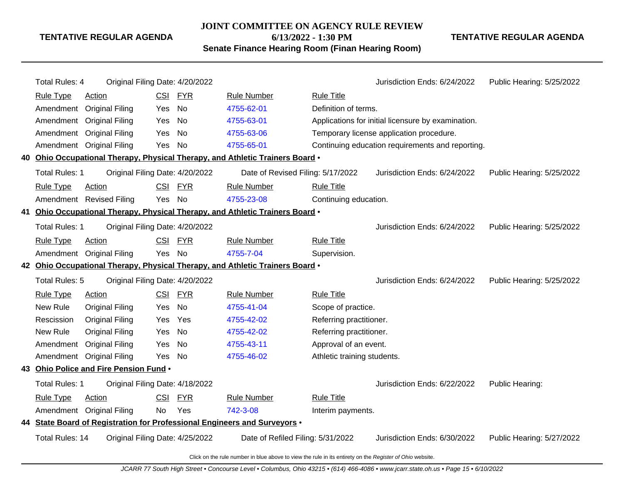#### **JOINT COMMITTEE ON AGENCY RULE REVIEW**

**6/13/2022 - 1:30 PM**

**Senate Finance Hearing Room (Finan Hearing Room)**

**TENTATIVE REGULAR AGENDA**

| <b>Total Rules: 4</b>  | Original Filing Date: 4/20/2022        |            |            |                                                                               |                             | Jurisdiction Ends: 6/24/2022                       | Public Hearing: 5/25/2022 |
|------------------------|----------------------------------------|------------|------------|-------------------------------------------------------------------------------|-----------------------------|----------------------------------------------------|---------------------------|
| <b>Rule Type</b>       | <b>Action</b>                          | <b>CSI</b> | <b>FYR</b> | <b>Rule Number</b>                                                            | <b>Rule Title</b>           |                                                    |                           |
| Amendment              | <b>Original Filing</b>                 | Yes        | <b>No</b>  | 4755-62-01                                                                    | Definition of terms.        |                                                    |                           |
| Amendment              | <b>Original Filing</b>                 | Yes        | No         | 4755-63-01                                                                    |                             | Applications for initial licensure by examination. |                           |
| Amendment              | <b>Original Filing</b>                 | Yes        | No         | 4755-63-06                                                                    |                             | Temporary license application procedure.           |                           |
|                        | Amendment Original Filing              | Yes        | No         | 4755-65-01                                                                    |                             | Continuing education requirements and reporting.   |                           |
|                        |                                        |            |            | 40 Ohio Occupational Therapy, Physical Therapy, and Athletic Trainers Board . |                             |                                                    |                           |
| Total Rules: 1         | Original Filing Date: 4/20/2022        |            |            | Date of Revised Filing: 5/17/2022                                             |                             | Jurisdiction Ends: 6/24/2022                       | Public Hearing: 5/25/2022 |
| <b>Rule Type</b>       | Action                                 | CSI        | <b>FYR</b> | <b>Rule Number</b>                                                            | <b>Rule Title</b>           |                                                    |                           |
|                        | Amendment Revised Filing               | Yes        | <b>No</b>  | 4755-23-08                                                                    | Continuing education.       |                                                    |                           |
|                        |                                        |            |            | 41 Ohio Occupational Therapy, Physical Therapy, and Athletic Trainers Board • |                             |                                                    |                           |
| <b>Total Rules: 1</b>  | Original Filing Date: 4/20/2022        |            |            |                                                                               |                             | Jurisdiction Ends: 6/24/2022                       | Public Hearing: 5/25/2022 |
| <b>Rule Type</b>       | <b>Action</b>                          | <b>CSI</b> | <u>FYR</u> | <b>Rule Number</b>                                                            | <b>Rule Title</b>           |                                                    |                           |
|                        | Amendment Original Filing              | Yes        | No         | 4755-7-04                                                                     | Supervision.                |                                                    |                           |
|                        |                                        |            |            | 42 Ohio Occupational Therapy, Physical Therapy, and Athletic Trainers Board . |                             |                                                    |                           |
| Total Rules: 5         | Original Filing Date: 4/20/2022        |            |            |                                                                               |                             | Jurisdiction Ends: 6/24/2022                       | Public Hearing: 5/25/2022 |
| <b>Rule Type</b>       | Action                                 | <b>CSI</b> | <u>FYR</u> | <b>Rule Number</b>                                                            | <b>Rule Title</b>           |                                                    |                           |
| New Rule               | <b>Original Filing</b>                 | Yes        | <b>No</b>  | 4755-41-04                                                                    | Scope of practice.          |                                                    |                           |
| Rescission             | Original Filing                        | Yes        | Yes        | 4755-42-02                                                                    | Referring practitioner.     |                                                    |                           |
| New Rule               | <b>Original Filing</b>                 | Yes        | No         | 4755-42-02                                                                    | Referring practitioner.     |                                                    |                           |
| Amendment              | <b>Original Filing</b>                 | Yes        | No         | 4755-43-11                                                                    | Approval of an event.       |                                                    |                           |
|                        | Amendment Original Filing              | Yes        | No         | 4755-46-02                                                                    | Athletic training students. |                                                    |                           |
|                        | 43 Ohio Police and Fire Pension Fund . |            |            |                                                                               |                             |                                                    |                           |
| <b>Total Rules: 1</b>  | Original Filing Date: 4/18/2022        |            |            |                                                                               |                             | Jurisdiction Ends: 6/22/2022                       | Public Hearing:           |
| <b>Rule Type</b>       | Action                                 | <b>CSI</b> | <b>FYR</b> | <b>Rule Number</b>                                                            | <b>Rule Title</b>           |                                                    |                           |
|                        | Amendment Original Filing              | No         | Yes        | 742-3-08                                                                      | Interim payments.           |                                                    |                           |
|                        |                                        |            |            | 44 State Board of Registration for Professional Engineers and Surveyors .     |                             |                                                    |                           |
| <b>Total Rules: 14</b> | Original Filing Date: 4/25/2022        |            |            | Date of Refiled Filing: 5/31/2022                                             |                             | Jurisdiction Ends: 6/30/2022                       | Public Hearing: 5/27/2022 |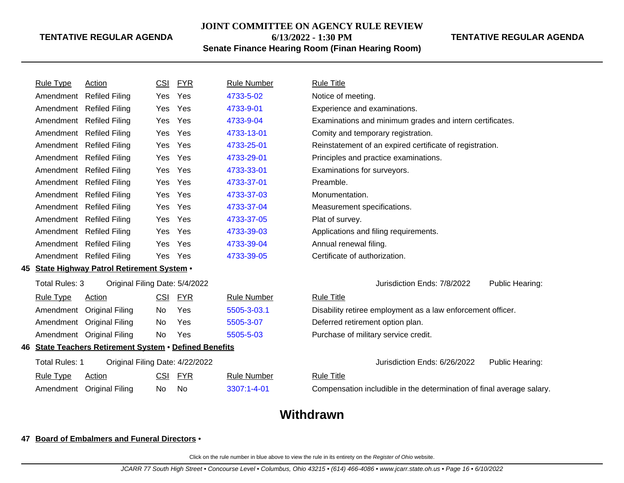#### **JOINT COMMITTEE ON AGENCY RULE REVIEW**

**6/13/2022 - 1:30 PM**

# **Senate Finance Hearing Room (Finan Hearing Room)**

#### **TENTATIVE REGULAR AGENDA**

|    | <b>Rule Type</b>      | <b>Action</b>                                              | <u>CSI</u> | <b>FYR</b> | <b>Rule Number</b> | <b>Rule Title</b>                                                     |
|----|-----------------------|------------------------------------------------------------|------------|------------|--------------------|-----------------------------------------------------------------------|
|    | Amendment             | <b>Refiled Filing</b>                                      | Yes        | Yes        | 4733-5-02          | Notice of meeting.                                                    |
|    | Amendment             | <b>Refiled Filing</b>                                      | Yes        | Yes        | 4733-9-01          | Experience and examinations.                                          |
|    | Amendment             | <b>Refiled Filing</b>                                      | Yes        | Yes        | 4733-9-04          | Examinations and minimum grades and intern certificates.              |
|    | Amendment             | <b>Refiled Filing</b>                                      | Yes        | Yes        | 4733-13-01         | Comity and temporary registration.                                    |
|    | Amendment             | <b>Refiled Filing</b>                                      | Yes        | Yes        | 4733-25-01         | Reinstatement of an expired certificate of registration.              |
|    | Amendment             | <b>Refiled Filing</b>                                      | Yes        | Yes        | 4733-29-01         | Principles and practice examinations.                                 |
|    | Amendment             | <b>Refiled Filing</b>                                      | Yes        | Yes        | 4733-33-01         | Examinations for surveyors.                                           |
|    | Amendment             | <b>Refiled Filing</b>                                      | <b>Yes</b> | Yes        | 4733-37-01         | Preamble.                                                             |
|    | Amendment             | <b>Refiled Filing</b>                                      | <b>Yes</b> | Yes        | 4733-37-03         | Monumentation.                                                        |
|    | Amendment             | <b>Refiled Filing</b>                                      | <b>Yes</b> | Yes        | 4733-37-04         | Measurement specifications.                                           |
|    | Amendment             | <b>Refiled Filing</b>                                      | <b>Yes</b> | Yes        | 4733-37-05         | Plat of survey.                                                       |
|    | Amendment             | <b>Refiled Filing</b>                                      | <b>Yes</b> | Yes        | 4733-39-03         | Applications and filing requirements.                                 |
|    | Amendment             | <b>Refiled Filing</b>                                      | <b>Yes</b> | Yes        | 4733-39-04         | Annual renewal filing.                                                |
|    | Amendment             | <b>Refiled Filing</b>                                      | Yes        | Yes        | 4733-39-05         | Certificate of authorization.                                         |
|    |                       | 45 State Highway Patrol Retirement System •                |            |            |                    |                                                                       |
|    | Total Rules: 3        | Original Filing Date: 5/4/2022                             |            |            |                    | Jurisdiction Ends: 7/8/2022<br>Public Hearing:                        |
|    | <b>Rule Type</b>      | <u>Action</u>                                              | CSI        | <u>FYR</u> | <b>Rule Number</b> | <b>Rule Title</b>                                                     |
|    | Amendment             | <b>Original Filing</b>                                     | No         | Yes        | 5505-3-03.1        | Disability retiree employment as a law enforcement officer.           |
|    | Amendment             | <b>Original Filing</b>                                     | No.        | Yes        | 5505-3-07          | Deferred retirement option plan.                                      |
|    | Amendment             | <b>Original Filing</b>                                     | No.        | Yes        | 5505-5-03          | Purchase of military service credit.                                  |
| 46 |                       | <b>State Teachers Retirement System . Defined Benefits</b> |            |            |                    |                                                                       |
|    | <b>Total Rules: 1</b> | Original Filing Date: 4/22/2022                            |            |            |                    | Jurisdiction Ends: 6/26/2022<br>Public Hearing:                       |
|    | <b>Rule Type</b>      | <b>Action</b>                                              | CSI        | <u>FYR</u> | <b>Rule Number</b> | <b>Rule Title</b>                                                     |
|    | Amendment             | <b>Original Filing</b>                                     | No.        | No         | 3307:1-4-01        | Compensation includible in the determination of final average salary. |
|    |                       |                                                            |            |            |                    |                                                                       |

# **Withdrawn**

# **47 Board of Embalmers and Funeral Directors** •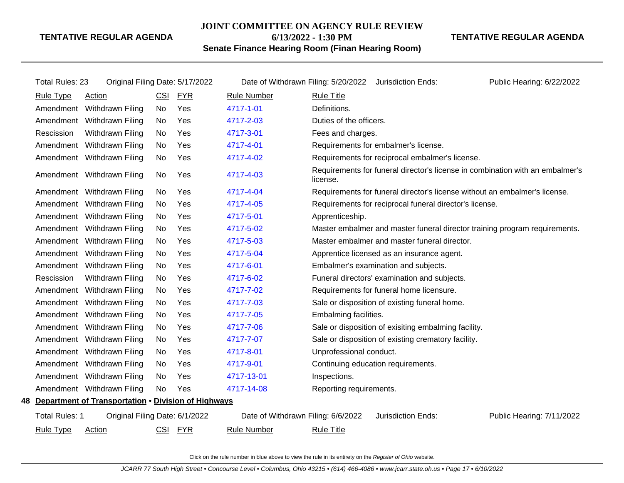#### **JOINT COMMITTEE ON AGENCY RULE REVIEW**

**6/13/2022 - 1:30 PM**

**Senate Finance Hearing Room (Finan Hearing Room)**

**TENTATIVE REGULAR AGENDA**

| <b>Total Rules: 23</b> | Original Filing Date: 5/17/2022                        |            |            |                                    | Date of Withdrawn Filing: 5/20/2022 Jurisdiction Ends:<br>Public Hearing: 6/22/2022       |
|------------------------|--------------------------------------------------------|------------|------------|------------------------------------|-------------------------------------------------------------------------------------------|
| Rule Type              | <b>Action</b>                                          | <b>CSI</b> | <u>FYR</u> | <b>Rule Number</b>                 | <b>Rule Title</b>                                                                         |
|                        | Amendment Withdrawn Filing                             | No         | Yes        | 4717-1-01                          | Definitions.                                                                              |
| Amendment              | Withdrawn Filing                                       | No         | Yes        | 4717-2-03                          | Duties of the officers.                                                                   |
| Rescission             | Withdrawn Filing                                       | No         | Yes        | 4717-3-01                          | Fees and charges.                                                                         |
| Amendment              | Withdrawn Filing                                       | No         | Yes        | 4717-4-01                          | Requirements for embalmer's license.                                                      |
|                        | Amendment Withdrawn Filing                             | No         | Yes        | 4717-4-02                          | Requirements for reciprocal embalmer's license.                                           |
|                        | Amendment Withdrawn Filing                             | No         | Yes        | 4717-4-03                          | Requirements for funeral director's license in combination with an embalmer's<br>license. |
|                        | Amendment Withdrawn Filing                             | No         | Yes        | 4717-4-04                          | Requirements for funeral director's license without an embalmer's license.                |
|                        | Amendment Withdrawn Filing                             | No.        | Yes        | 4717-4-05                          | Requirements for reciprocal funeral director's license.                                   |
|                        | Amendment Withdrawn Filing                             | No         | Yes        | 4717-5-01                          | Apprenticeship.                                                                           |
|                        | Amendment Withdrawn Filing                             | No         | Yes        | 4717-5-02                          | Master embalmer and master funeral director training program requirements.                |
|                        | Amendment Withdrawn Filing                             | No         | Yes        | 4717-5-03                          | Master embalmer and master funeral director.                                              |
|                        | Amendment Withdrawn Filing                             | No         | Yes        | 4717-5-04                          | Apprentice licensed as an insurance agent.                                                |
|                        | Amendment Withdrawn Filing                             | No         | Yes        | 4717-6-01                          | Embalmer's examination and subjects.                                                      |
| Rescission             | Withdrawn Filing                                       | No         | Yes        | 4717-6-02                          | Funeral directors' examination and subjects.                                              |
| Amendment              | Withdrawn Filing                                       | No         | Yes        | 4717-7-02                          | Requirements for funeral home licensure.                                                  |
|                        | Amendment Withdrawn Filing                             | No         | Yes        | 4717-7-03                          | Sale or disposition of existing funeral home.                                             |
|                        | Amendment Withdrawn Filing                             | No         | Yes        | 4717-7-05                          | Embalming facilities.                                                                     |
|                        | Amendment Withdrawn Filing                             | No         | Yes        | 4717-7-06                          | Sale or disposition of exisiting embalming facility.                                      |
|                        | Amendment Withdrawn Filing                             | No.        | Yes        | 4717-7-07                          | Sale or disposition of existing crematory facility.                                       |
|                        | Amendment Withdrawn Filing                             | No         | Yes        | 4717-8-01                          | Unprofessional conduct.                                                                   |
|                        | Amendment Withdrawn Filing                             | No         | Yes        | 4717-9-01                          | Continuing education requirements.                                                        |
|                        | Amendment Withdrawn Filing                             | No         | Yes        | 4717-13-01                         | Inspections.                                                                              |
|                        | Amendment Withdrawn Filing                             | No         | Yes        | 4717-14-08                         | Reporting requirements.                                                                   |
|                        | 48 Department of Transportation . Division of Highways |            |            |                                    |                                                                                           |
| <b>Total Rules: 1</b>  | Original Filing Date: 6/1/2022                         |            |            | Date of Withdrawn Filing: 6/6/2022 | Jurisdiction Ends:<br>Public Hearing: 7/11/2022                                           |
| <b>Rule Type</b>       | <b>Action</b>                                          | CSI FYR    |            | <b>Rule Number</b>                 | <b>Rule Title</b>                                                                         |